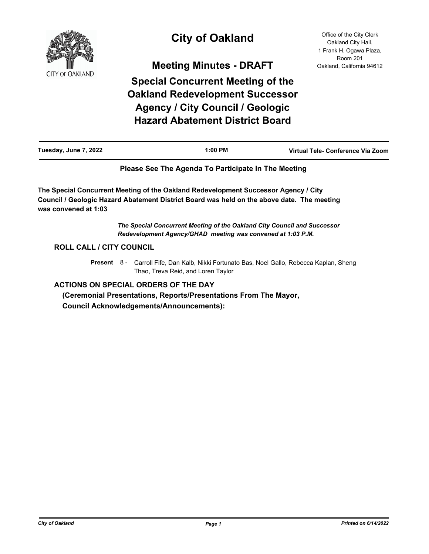

# **City of Oakland**

**Meeting Minutes - DRAFT**

**Special Concurrent Meeting of the Oakland Redevelopment Successor Agency / City Council / Geologic Hazard Abatement District Board**

Office of the City Clerk Oakland City Hall, 1 Frank H. Ogawa Plaza, Room 201 Oakland, California 94612

| Tuesday, June 7, 2022 | 1:00 PM | Virtual Tele- Conference Via Zoom |
|-----------------------|---------|-----------------------------------|
|-----------------------|---------|-----------------------------------|

# **Please See The Agenda To Participate In The Meeting**

**The Special Concurrent Meeting of the Oakland Redevelopment Successor Agency / City Council / Geologic Hazard Abatement District Board was held on the above date. The meeting was convened at 1:03**

> *The Special Concurrent Meeting of the Oakland City Council and Successor Redevelopment Agency/GHAD meeting was convened at 1:03 P.M.*

# **ROLL CALL / CITY COUNCIL**

Present 8 - Carroll Fife, Dan Kalb, Nikki Fortunato Bas, Noel Gallo, Rebecca Kaplan, Sheng Thao, Treva Reid, and Loren Taylor

# **ACTIONS ON SPECIAL ORDERS OF THE DAY**

 **(Ceremonial Presentations, Reports/Presentations From The Mayor, Council Acknowledgements/Announcements):**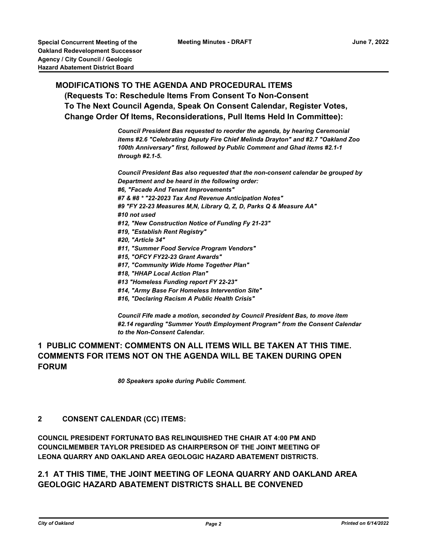# **MODIFICATIONS TO THE AGENDA AND PROCEDURAL ITEMS (Requests To: Reschedule Items From Consent To Non-Consent To The Next Council Agenda, Speak On Consent Calendar, Register Votes, Change Order Of Items, Reconsiderations, Pull Items Held In Committee):**

*Council President Bas requested to reorder the agenda, by hearing Ceremonial items #2.6 "Celebrating Deputy Fire Chief Melinda Drayton" and #2.7 "Oakland Zoo 100th Anniversary" first, followed by Public Comment and Ghad items #2.1-1 through #2.1-5.* 

*Council President Bas also requested that the non-consent calendar be grouped by Department and be heard in the following order: #6, "Facade And Tenant Improvements" #7 & #8 \* "22-2023 Tax And Revenue Anticipation Notes" #9 "FY 22-23 Measures M,N, Library Q, Z, D, Parks Q & Measure AA" #10 not used #12, "New Construction Notice of Funding Fy 21-23" #19, "Establish Rent Registry" #20, "Article 34" #11, "Summer Food Service Program Vendors" #15, "OFCY FY22-23 Grant Awards" #17, "Community Wide Home Together Plan" #18, "HHAP Local Action Plan" #13 "Homeless Funding report FY 22-23" #14, "Army Base For Homeless Intervention Site" #16, "Declaring Racism A Public Health Crisis"*

*Council Fife made a motion, seconded by Council President Bas, to move item #2.14 regarding "Summer Youth Employment Program" from the Consent Calendar to the Non-Consent Calendar.*

# **1 PUBLIC COMMENT: COMMENTS ON ALL ITEMS WILL BE TAKEN AT THIS TIME. COMMENTS FOR ITEMS NOT ON THE AGENDA WILL BE TAKEN DURING OPEN FORUM**

*80 Speakers spoke during Public Comment.*

# **2 CONSENT CALENDAR (CC) ITEMS:**

**COUNCIL PRESIDENT FORTUNATO BAS RELINQUISHED THE CHAIR AT 4:00 PM AND COUNCILMEMBER TAYLOR PRESIDED AS CHAIRPERSON OF THE JOINT MEETING OF LEONA QUARRY AND OAKLAND AREA GEOLOGIC HAZARD ABATEMENT DISTRICTS.**

# **2.1 AT THIS TIME, THE JOINT MEETING OF LEONA QUARRY AND OAKLAND AREA GEOLOGIC HAZARD ABATEMENT DISTRICTS SHALL BE CONVENED**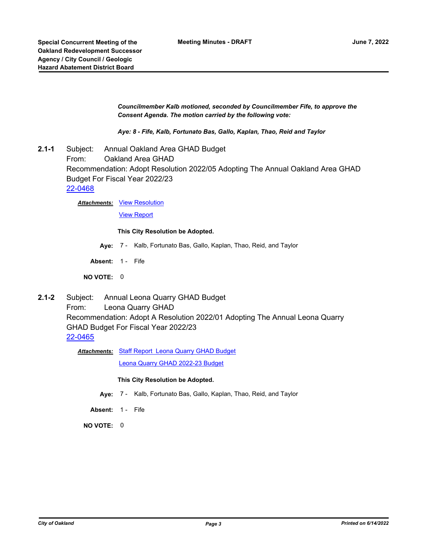*Councilmember Kalb motioned, seconded by Councilmember Fife, to approve the Consent Agenda. The motion carried by the following vote:*

*Aye: 8 - Fife, Kalb, Fortunato Bas, Gallo, Kaplan, Thao, Reid and Taylor*

**2.1-1** Subject: Annual Oakland Area GHAD Budget From: Oakland Area GHAD Recommendation: Adopt Resolution 2022/05 Adopting The Annual Oakland Area GHAD Budget For Fiscal Year 2022/23 [22-0468](http://oakland.legistar.com/gateway.aspx?m=l&id=/matter.aspx?key=33389)

**Attachments: [View Resolution](http://oakland.legistar.com/gateway.aspx?M=F&ID=7bc15e5d-c5a1-44a3-b400-1217dd7da7c1.pdf)** 

[View Report](http://oakland.legistar.com/gateway.aspx?M=F&ID=7a900bee-1a1f-4ecb-93dc-36f91b86dc2f.pdf)

#### **This City Resolution be Adopted.**

- **Aye:** 7 Kalb, Fortunato Bas, Gallo, Kaplan, Thao, Reid, and Taylor
- Absent: 1 Fife

**NO VOTE:** 0

**2.1-2** Subject: Annual Leona Quarry GHAD Budget From: Leona Quarry GHAD Recommendation: Adopt A Resolution 2022/01 Adopting The Annual Leona Quarry GHAD Budget For Fiscal Year 2022/23 [22-0465](http://oakland.legistar.com/gateway.aspx?m=l&id=/matter.aspx?key=33386)

Attachments: [Staff Report Leona Quarry GHAD Budget](http://oakland.legistar.com/gateway.aspx?M=F&ID=0bc518e6-7532-41d7-8082-774ab4a41071.pdf)

[Leona Quarry GHAD 2022-23 Budget](http://oakland.legistar.com/gateway.aspx?M=F&ID=d8fc6434-187b-446c-9ce4-8f062e9fb79e.pdf)

#### **This City Resolution be Adopted.**

- **Aye:** 7 Kalb, Fortunato Bas, Gallo, Kaplan, Thao, Reid, and Taylor
- **Absent:** 1 Fife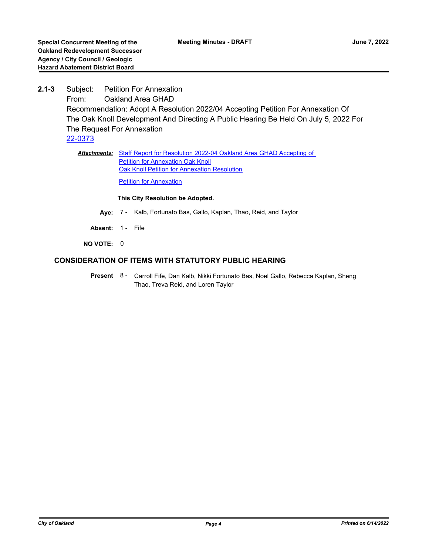**2.1-3** Subject: Petition For Annexation From: Oakland Area GHAD Recommendation: Adopt A Resolution 2022/04 Accepting Petition For Annexation Of The Oak Knoll Development And Directing A Public Hearing Be Held On July 5, 2022 For The Request For Annexation [22-0373](http://oakland.legistar.com/gateway.aspx?m=l&id=/matter.aspx?key=33294)

> Attachments: Staff Report for Resolution 2022-04 Oakland Area GHAD Accepting of **Petition for Annexation Oak Knoll [Oak Knoll Petition for Annexation Resolution](http://oakland.legistar.com/gateway.aspx?M=F&ID=a277dc8a-7dfa-4327-878e-2d4bf106714d.pdf)**

**[Petition for Annexation](http://oakland.legistar.com/gateway.aspx?M=F&ID=14094ced-d97d-4fbf-81bf-5a9eae651fd8.pdf)** 

#### **This City Resolution be Adopted.**

- **Aye:** 7 Kalb, Fortunato Bas, Gallo, Kaplan, Thao, Reid, and Taylor
- Absent: 1 Fife
- **NO VOTE:** 0

# **CONSIDERATION OF ITEMS WITH STATUTORY PUBLIC HEARING**

Present 8 - Carroll Fife, Dan Kalb, Nikki Fortunato Bas, Noel Gallo, Rebecca Kaplan, Sheng Thao, Treva Reid, and Loren Taylor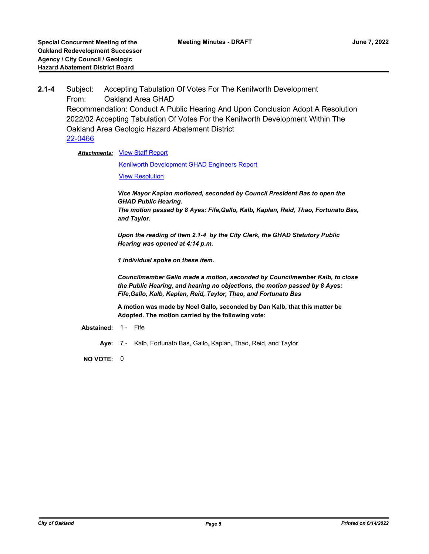**2.1-4** Subject: Accepting Tabulation Of Votes For The Kenilworth Development From: Oakland Area GHAD Recommendation: Conduct A Public Hearing And Upon Conclusion Adopt A Resolution 2022/02 Accepting Tabulation Of Votes For the Kenilworth Development Within The Oakland Area Geologic Hazard Abatement District [22-0466](http://oakland.legistar.com/gateway.aspx?m=l&id=/matter.aspx?key=33387)

**Attachments: [View Staff Report](http://oakland.legistar.com/gateway.aspx?M=F&ID=0815ff0a-0efb-4c30-93dd-68cb8e599340.pdf)** 

[Kenilworth Development GHAD Engineers Report](http://oakland.legistar.com/gateway.aspx?M=F&ID=aa8706da-d186-4594-b097-809d5d9ad36c.pdf)

**[View Resolution](http://oakland.legistar.com/gateway.aspx?M=F&ID=fabda9b2-70d4-4a0a-988b-9e2c539332f4.pdf)** 

*Vice Mayor Kaplan motioned, seconded by Council President Bas to open the GHAD Public Hearing. The motion passed by 8 Ayes: Fife,Gallo, Kalb, Kaplan, Reid, Thao, Fortunato Bas, and Taylor.*

*Upon the reading of Item 2.1-4 by the City Clerk, the GHAD Statutory Public Hearing was opened at 4:14 p.m.*

*1 individual spoke on these item.*

*Councilmember Gallo made a motion, seconded by Councilmember Kalb, to close the Public Hearing, and hearing no objections, the motion passed by 8 Ayes: Fife,Gallo, Kalb, Kaplan, Reid, Taylor, Thao, and Fortunato Bas*

**A motion was made by Noel Gallo, seconded by Dan Kalb, that this matter be Adopted. The motion carried by the following vote:**

**Abstained:** 1 - Fife

**Aye:** 7 - Kalb, Fortunato Bas, Gallo, Kaplan, Thao, Reid, and Taylor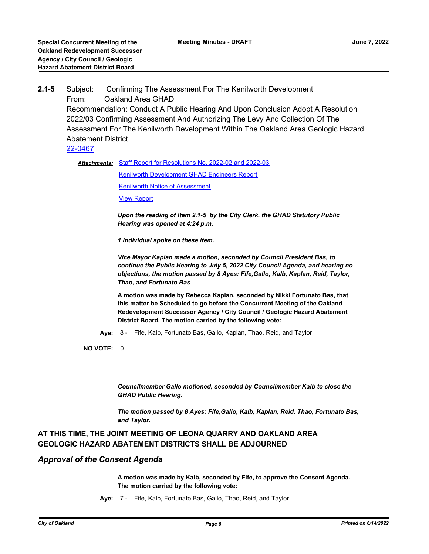# **2.1-5** Subject: Confirming The Assessment For The Kenilworth Development From: Oakland Area GHAD Recommendation: Conduct A Public Hearing And Upon Conclusion Adopt A Resolution 2022/03 Confirming Assessment And Authorizing The Levy And Collection Of The Assessment For The Kenilworth Development Within The Oakland Area Geologic Hazard Abatement District [22-0467](http://oakland.legistar.com/gateway.aspx?m=l&id=/matter.aspx?key=33388)

Attachments: [Staff Report for Resolutions No. 2022-02 and 2022-03](http://oakland.legistar.com/gateway.aspx?M=F&ID=23d957dd-8ce0-400d-bee8-c98c68233452.pdf) [Kenilworth Development GHAD Engineers Report](http://oakland.legistar.com/gateway.aspx?M=F&ID=72de6b6c-aaa9-49da-a53f-a70c42acb173.pdf)

[Kenilworth Notice of Assessment](http://oakland.legistar.com/gateway.aspx?M=F&ID=60d28ae7-fc59-4008-88ea-490035bc8d91.docx)

[View Report](http://oakland.legistar.com/gateway.aspx?M=F&ID=c99a4dc4-2aab-4e30-a11b-4830f153fa06.pdf)

*Upon the reading of Item 2.1-5 by the City Clerk, the GHAD Statutory Public Hearing was opened at 4:24 p.m.*

*1 individual spoke on these item.*

*Vice Mayor Kaplan made a motion, seconded by Council President Bas, to continue the Public Hearing to July 5, 2022 City Council Agenda, and hearing no objections, the motion passed by 8 Ayes: Fife,Gallo, Kalb, Kaplan, Reid, Taylor, Thao, and Fortunato Bas*

**A motion was made by Rebecca Kaplan, seconded by Nikki Fortunato Bas, that this matter be Scheduled to go before the Concurrent Meeting of the Oakland Redevelopment Successor Agency / City Council / Geologic Hazard Abatement District Board. The motion carried by the following vote:**

**Aye:** 8 - Fife, Kalb, Fortunato Bas, Gallo, Kaplan, Thao, Reid, and Taylor

**NO VOTE:** 0

*Councilmember Gallo motioned, seconded by Councilmember Kalb to close the GHAD Public Hearing.*

*The motion passed by 8 Ayes: Fife,Gallo, Kalb, Kaplan, Reid, Thao, Fortunato Bas, and Taylor.*

# **AT THIS TIME, THE JOINT MEETING OF LEONA QUARRY AND OAKLAND AREA GEOLOGIC HAZARD ABATEMENT DISTRICTS SHALL BE ADJOURNED**

# *Approval of the Consent Agenda*

**A motion was made by Kalb, seconded by Fife, to approve the Consent Agenda. The motion carried by the following vote:**

**Aye:** 7 - Fife, Kalb, Fortunato Bas, Gallo, Thao, Reid, and Taylor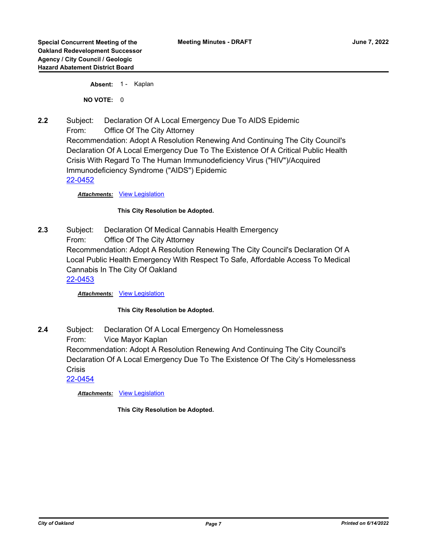Absent: 1 - Kaplan

**NO VOTE:** 0

**2.2** Subject: Declaration Of A Local Emergency Due To AIDS Epidemic From: Office Of The City Attorney Recommendation: Adopt A Resolution Renewing And Continuing The City Council's Declaration Of A Local Emergency Due To The Existence Of A Critical Public Health Crisis With Regard To The Human Immunodeficiency Virus ("HIV")/Acquired Immunodeficiency Syndrome ("AIDS") Epidemic [22-0452](http://oakland.legistar.com/gateway.aspx?m=l&id=/matter.aspx?key=33373)

*Attachments:* [View Legislation](http://oakland.legistar.com/gateway.aspx?M=F&ID=49c67d69-32f7-4102-a4cb-4d91bb138e4a.pdf)

#### **This City Resolution be Adopted.**

**2.3** Subject: Declaration Of Medical Cannabis Health Emergency From: Office Of The City Attorney Recommendation: Adopt A Resolution Renewing The City Council's Declaration Of A Local Public Health Emergency With Respect To Safe, Affordable Access To Medical Cannabis In The City Of Oakland [22-0453](http://oakland.legistar.com/gateway.aspx?m=l&id=/matter.aspx?key=33374)

*Attachments:* [View Legislation](http://oakland.legistar.com/gateway.aspx?M=F&ID=ee50a338-c01a-4d3f-9df4-905d468a0402.pdf)

#### **This City Resolution be Adopted.**

**2.4** Subject: Declaration Of A Local Emergency On Homelessness From: Vice Mayor Kaplan Recommendation: Adopt A Resolution Renewing And Continuing The City Council's Declaration Of A Local Emergency Due To The Existence Of The City's Homelessness **Crisis** [22-0454](http://oakland.legistar.com/gateway.aspx?m=l&id=/matter.aspx?key=33375)

*Attachments:* [View Legislation](http://oakland.legistar.com/gateway.aspx?M=F&ID=e7afc958-d851-4bf1-8c18-6181aa99fd8b.PDF)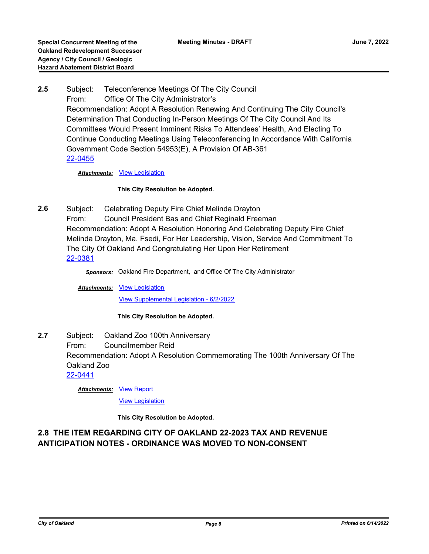**2.5** Subject: Teleconference Meetings Of The City Council From: Office Of The City Administrator's Recommendation: Adopt A Resolution Renewing And Continuing The City Council's Determination That Conducting In-Person Meetings Of The City Council And Its Committees Would Present Imminent Risks To Attendees' Health, And Electing To Continue Conducting Meetings Using Teleconferencing In Accordance With California Government Code Section 54953(E), A Provision Of AB-361 [22-0455](http://oakland.legistar.com/gateway.aspx?m=l&id=/matter.aspx?key=33376)

*Attachments:* [View Legislation](http://oakland.legistar.com/gateway.aspx?M=F&ID=c81dc76d-6d3a-456a-baad-d459c973bc39.pdf)

**This City Resolution be Adopted.**

**2.6** Subject: Celebrating Deputy Fire Chief Melinda Drayton From: Council President Bas and Chief Reginald Freeman Recommendation: Adopt A Resolution Honoring And Celebrating Deputy Fire Chief Melinda Drayton, Ma, Fsedi, For Her Leadership, Vision, Service And Commitment To The City Of Oakland And Congratulating Her Upon Her Retirement [22-0381](http://oakland.legistar.com/gateway.aspx?m=l&id=/matter.aspx?key=33302)

*Sponsors:* Oakland Fire Department, and Office Of The City Administrator

Attachments: [View Legislation](http://oakland.legistar.com/gateway.aspx?M=F&ID=ea3537a8-fd16-4d7a-8605-e245d26fea78.pdf)

[View Supplemental Legislation - 6/2/2022](http://oakland.legistar.com/gateway.aspx?M=F&ID=e3474fd1-98f4-4f66-aeac-4452daebe9af.PDF)

**This City Resolution be Adopted.**

**2.7** Subject: Oakland Zoo 100th Anniversary From: Councilmember Reid Recommendation: Adopt A Resolution Commemorating The 100th Anniversary Of The Oakland Zoo [22-0441](http://oakland.legistar.com/gateway.aspx?m=l&id=/matter.aspx?key=33362)

**Attachments: [View Report](http://oakland.legistar.com/gateway.aspx?M=F&ID=7ea47975-9f84-43e3-ade2-fd2394dd4cbd.pdf)** 

[View Legislation](http://oakland.legistar.com/gateway.aspx?M=F&ID=a0316b79-4475-4a75-9dcc-f08c7767961f.PDF)

**This City Resolution be Adopted.**

# **2.8 THE ITEM REGARDING CITY OF OAKLAND 22-2023 TAX AND REVENUE ANTICIPATION NOTES - ORDINANCE WAS MOVED TO NON-CONSENT**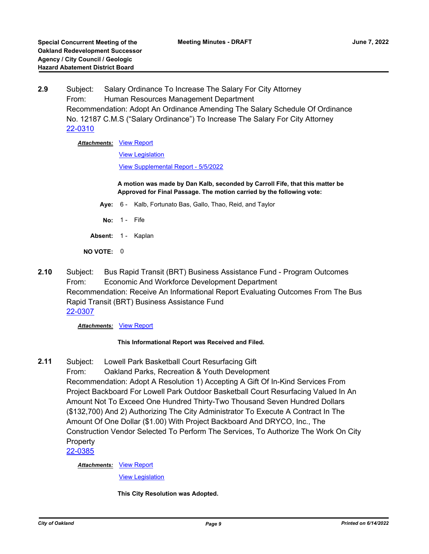**2.9** Subject: Salary Ordinance To Increase The Salary For City Attorney From: Human Resources Management Department Recommendation: Adopt An Ordinance Amending The Salary Schedule Of Ordinance No. 12187 C.M.S ("Salary Ordinance") To Increase The Salary For City Attorney [22-0310](http://oakland.legistar.com/gateway.aspx?m=l&id=/matter.aspx?key=33231)

### **Attachments: [View Report](http://oakland.legistar.com/gateway.aspx?M=F&ID=711a6fe2-6591-4946-9b76-27d1ac50e109.pdf)**

[View Legislation](http://oakland.legistar.com/gateway.aspx?M=F&ID=3fc2dc9c-5e2f-4d3a-b2a6-ddcea720dd0a.pdf)

[View Supplemental Report - 5/5/2022](http://oakland.legistar.com/gateway.aspx?M=F&ID=fc16aab2-8545-4f60-a02d-6457443a8870.PDF)

**A motion was made by Dan Kalb, seconded by Carroll Fife, that this matter be Approved for Final Passage. The motion carried by the following vote:**

- **Aye:** 6 Kalb, Fortunato Bas, Gallo, Thao, Reid, and Taylor
- **No:** 1 Fife
- **Absent:** 1 Kaplan
- **NO VOTE:** 0
- **2.10** Subject: Bus Rapid Transit (BRT) Business Assistance Fund Program Outcomes From: Economic And Workforce Development Department Recommendation: Receive An Informational Report Evaluating Outcomes From The Bus Rapid Transit (BRT) Business Assistance Fund [22-0307](http://oakland.legistar.com/gateway.aspx?m=l&id=/matter.aspx?key=33228)

#### **Attachments: [View Report](http://oakland.legistar.com/gateway.aspx?M=F&ID=c693eef0-0e64-47e2-afe8-6f4bdc3a06ac.pdf)**

# **This Informational Report was Received and Filed.**

**2.11** Subject: Lowell Park Basketball Court Resurfacing Gift From: Oakland Parks, Recreation & Youth Development Recommendation: Adopt A Resolution 1) Accepting A Gift Of In-Kind Services From Project Backboard For Lowell Park Outdoor Basketball Court Resurfacing Valued In An Amount Not To Exceed One Hundred Thirty-Two Thousand Seven Hundred Dollars (\$132,700) And 2) Authorizing The City Administrator To Execute A Contract In The Amount Of One Dollar (\$1.00) With Project Backboard And DRYCO, Inc., The Construction Vendor Selected To Perform The Services, To Authorize The Work On City Property

[22-0385](http://oakland.legistar.com/gateway.aspx?m=l&id=/matter.aspx?key=33306)

#### **Attachments: [View Report](http://oakland.legistar.com/gateway.aspx?M=F&ID=24e30d3e-ed99-4f61-b49b-0042d613869a.pdf)**

[View Legislation](http://oakland.legistar.com/gateway.aspx?M=F&ID=7c65cba7-c5be-4a7d-af39-2884cf833afa.pdf)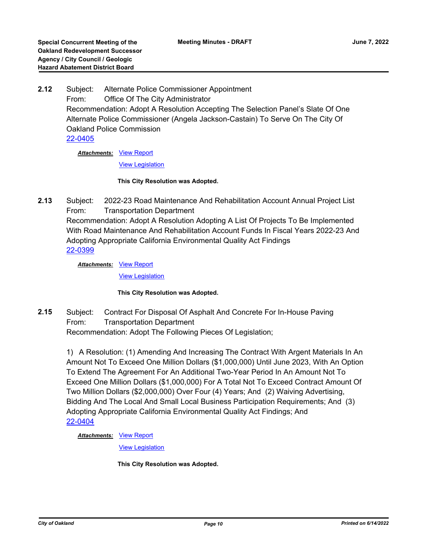**2.12** Subject: Alternate Police Commissioner Appointment From: Office Of The City Administrator Recommendation: Adopt A Resolution Accepting The Selection Panel's Slate Of One Alternate Police Commissioner (Angela Jackson-Castain) To Serve On The City Of Oakland Police Commission [22-0405](http://oakland.legistar.com/gateway.aspx?m=l&id=/matter.aspx?key=33326)

**Attachments: [View Report](http://oakland.legistar.com/gateway.aspx?M=F&ID=fbbfa5be-e7d1-443a-89b3-a88eb516267b.pdf)** 

[View Legislation](http://oakland.legistar.com/gateway.aspx?M=F&ID=684702ab-562a-4903-821b-0859c43854ee.pdf)

#### **This City Resolution was Adopted.**

**2.13** Subject: 2022-23 Road Maintenance And Rehabilitation Account Annual Project List From: Transportation Department Recommendation: Adopt A Resolution Adopting A List Of Projects To Be Implemented With Road Maintenance And Rehabilitation Account Funds In Fiscal Years 2022-23 And Adopting Appropriate California Environmental Quality Act Findings [22-0399](http://oakland.legistar.com/gateway.aspx?m=l&id=/matter.aspx?key=33320)

**Attachments: [View Report](http://oakland.legistar.com/gateway.aspx?M=F&ID=e5a21eee-6aa8-449f-8674-1b731e7f2e73.pdf)** 

[View Legislation](http://oakland.legistar.com/gateway.aspx?M=F&ID=54be2b23-f52c-4b7a-b78e-8a221046b47e.pdf)

# **This City Resolution was Adopted.**

**2.15** Subject: Contract For Disposal Of Asphalt And Concrete For In-House Paving From: Transportation Department Recommendation: Adopt The Following Pieces Of Legislation;

1) A Resolution: (1) Amending And Increasing The Contract With Argent Materials In An Amount Not To Exceed One Million Dollars (\$1,000,000) Until June 2023, With An Option To Extend The Agreement For An Additional Two-Year Period In An Amount Not To Exceed One Million Dollars (\$1,000,000) For A Total Not To Exceed Contract Amount Of Two Million Dollars (\$2,000,000) Over Four (4) Years; And (2) Waiving Advertising, Bidding And The Local And Small Local Business Participation Requirements; And (3) Adopting Appropriate California Environmental Quality Act Findings; And [22-0404](http://oakland.legistar.com/gateway.aspx?m=l&id=/matter.aspx?key=33325)

**Attachments: [View Report](http://oakland.legistar.com/gateway.aspx?M=F&ID=ff526284-547d-4e7a-8875-046c3812bb9e.pdf)** 

[View Legislation](http://oakland.legistar.com/gateway.aspx?M=F&ID=99abf1f6-3f49-4790-a172-574bd4e04583.pdf)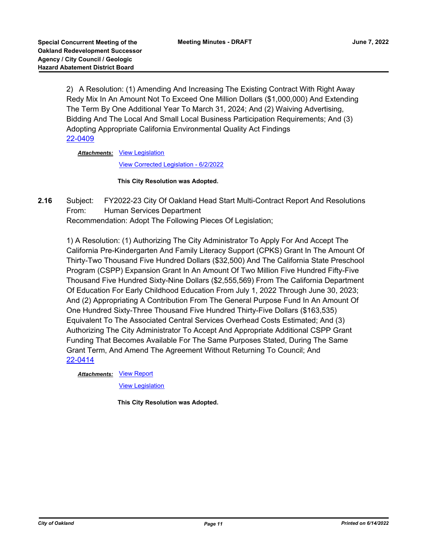2) A Resolution: (1) Amending And Increasing The Existing Contract With Right Away Redy Mix In An Amount Not To Exceed One Million Dollars (\$1,000,000) And Extending The Term By One Additional Year To March 31, 2024; And (2) Waiving Advertising, Bidding And The Local And Small Local Business Participation Requirements; And (3) Adopting Appropriate California Environmental Quality Act Findings [22-0409](http://oakland.legistar.com/gateway.aspx?m=l&id=/matter.aspx?key=33330)

Attachments: [View Legislation](http://oakland.legistar.com/gateway.aspx?M=F&ID=8d26df4e-f266-464d-bdca-66a70afe8c76.pdf)

[View Corrected Legislation - 6/2/2022](http://oakland.legistar.com/gateway.aspx?M=F&ID=325ff12b-a812-4e91-bdab-73b3181010a5.pdf)

#### **This City Resolution was Adopted.**

**2.16** Subject: FY2022-23 City Of Oakland Head Start Multi-Contract Report And Resolutions From: Human Services Department Recommendation: Adopt The Following Pieces Of Legislation;

1) A Resolution: (1) Authorizing The City Administrator To Apply For And Accept The California Pre-Kindergarten And Family Literacy Support (CPKS) Grant In The Amount Of Thirty-Two Thousand Five Hundred Dollars (\$32,500) And The California State Preschool Program (CSPP) Expansion Grant In An Amount Of Two Million Five Hundred Fifty-Five Thousand Five Hundred Sixty-Nine Dollars (\$2,555,569) From The California Department Of Education For Early Childhood Education From July 1, 2022 Through June 30, 2023; And (2) Appropriating A Contribution From The General Purpose Fund In An Amount Of One Hundred Sixty-Three Thousand Five Hundred Thirty-Five Dollars (\$163,535) Equivalent To The Associated Central Services Overhead Costs Estimated; And (3) Authorizing The City Administrator To Accept And Appropriate Additional CSPP Grant Funding That Becomes Available For The Same Purposes Stated, During The Same Grant Term, And Amend The Agreement Without Returning To Council; And [22-0414](http://oakland.legistar.com/gateway.aspx?m=l&id=/matter.aspx?key=33335)

**Attachments: [View Report](http://oakland.legistar.com/gateway.aspx?M=F&ID=2c0124ac-cb37-4328-888f-c113d35926a8.pdf)** 

[View Legislation](http://oakland.legistar.com/gateway.aspx?M=F&ID=0c51acf6-35c6-4dee-8aa7-31de7bc4c2ef.pdf)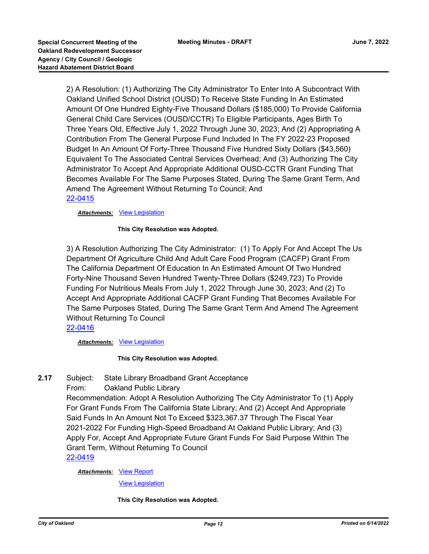2) A Resolution: (1) Authorizing The City Administrator To Enter Into A Subcontract With Oakland Unified School District (OUSD) To Receive State Funding In An Estimated Amount Of One Hundred Eighty-Five Thousand Dollars (\$185,000) To Provide California General Child Care Services (OUSD/CCTR) To Eligible Participants, Ages Birth To Three Years Old, Effective July 1, 2022 Through June 30, 2023; And (2) Appropriating A Contribution From The General Purpose Fund Included In The FY 2022-23 Proposed Budget In An Amount Of Forty-Three Thousand Five Hundred Sixty Dollars (\$43,560) Equivalent To The Associated Central Services Overhead; And (3) Authorizing The City Administrator To Accept And Appropriate Additional OUSD-CCTR Grant Funding That Becomes Available For The Same Purposes Stated, During The Same Grant Term, And Amend The Agreement Without Returning To Council; And [22-0415](http://oakland.legistar.com/gateway.aspx?m=l&id=/matter.aspx?key=33336)

### *Attachments:* [View Legislation](http://oakland.legistar.com/gateway.aspx?M=F&ID=a2ce38fd-c47a-4550-b448-bcfc668114a7.pdf)

### **This City Resolution was Adopted.**

3) A Resolution Authorizing The City Administrator: (1) To Apply For And Accept The Us Department Of Agriculture Child And Adult Care Food Program (CACFP) Grant From The California Department Of Education In An Estimated Amount Of Two Hundred Forty-Nine Thousand Seven Hundred Twenty-Three Dollars (\$249,723) To Provide Funding For Nutritious Meals From July 1, 2022 Through June 30, 2023; And (2) To Accept And Appropriate Additional CACFP Grant Funding That Becomes Available For The Same Purposes Stated, During The Same Grant Term And Amend The Agreement Without Returning To Council

# [22-0416](http://oakland.legistar.com/gateway.aspx?m=l&id=/matter.aspx?key=33337)

#### *Attachments:* [View Legislation](http://oakland.legistar.com/gateway.aspx?M=F&ID=e87bec56-93c9-43fd-9fc5-620a666c480e.pdf)

# **This City Resolution was Adopted.**

- **2.17** Subject: State Library Broadband Grant Acceptance
	- From: Oakland Public Library

Recommendation: Adopt A Resolution Authorizing The City Administrator To (1) Apply For Grant Funds From The California State Library; And (2) Accept And Appropriate Said Funds In An Amount Not To Exceed \$323,367.37 Through The Fiscal Year 2021-2022 For Funding High-Speed Broadband At Oakland Public Library; And (3) Apply For, Accept And Appropriate Future Grant Funds For Said Purpose Within The Grant Term, Without Returning To Council

# [22-0419](http://oakland.legistar.com/gateway.aspx?m=l&id=/matter.aspx?key=33340)

# **Attachments: [View Report](http://oakland.legistar.com/gateway.aspx?M=F&ID=65f6e595-ec69-463a-8f73-fa509cca0a9b.pdf)**

[View Legislation](http://oakland.legistar.com/gateway.aspx?M=F&ID=57406167-688c-49c8-92a6-3c81d3ab8ac2.PDF)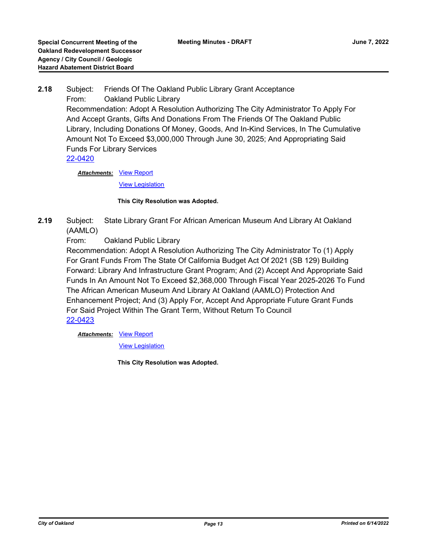**2.18** Subject: Friends Of The Oakland Public Library Grant Acceptance From: Oakland Public Library Recommendation: Adopt A Resolution Authorizing The City Administrator To Apply For And Accept Grants, Gifts And Donations From The Friends Of The Oakland Public Library, Including Donations Of Money, Goods, And In-Kind Services, In The Cumulative Amount Not To Exceed \$3,000,000 Through June 30, 2025; And Appropriating Said Funds For Library Services [22-0420](http://oakland.legistar.com/gateway.aspx?m=l&id=/matter.aspx?key=33341)

> **Attachments: [View Report](http://oakland.legistar.com/gateway.aspx?M=F&ID=95056d93-c4bf-428a-9170-3917c6aebe15.pdf)** [View Legislation](http://oakland.legistar.com/gateway.aspx?M=F&ID=ae0020bb-b3e7-475b-846d-624659252963.PDF)

# **This City Resolution was Adopted.**

**2.19** Subject: State Library Grant For African American Museum And Library At Oakland (AAMLO)

From: Oakland Public Library

Recommendation: Adopt A Resolution Authorizing The City Administrator To (1) Apply For Grant Funds From The State Of California Budget Act Of 2021 (SB 129) Building Forward: Library And Infrastructure Grant Program; And (2) Accept And Appropriate Said Funds In An Amount Not To Exceed \$2,368,000 Through Fiscal Year 2025-2026 To Fund The African American Museum And Library At Oakland (AAMLO) Protection And Enhancement Project; And (3) Apply For, Accept And Appropriate Future Grant Funds For Said Project Within The Grant Term, Without Return To Council [22-0423](http://oakland.legistar.com/gateway.aspx?m=l&id=/matter.aspx?key=33344)

**Attachments: [View Report](http://oakland.legistar.com/gateway.aspx?M=F&ID=b709d7e6-d5a7-439f-8c9a-be2e8245b0db.pdf)** 

[View Legislation](http://oakland.legistar.com/gateway.aspx?M=F&ID=b42a1552-2f42-4212-ad4e-5c5e025b7aa9.PDF)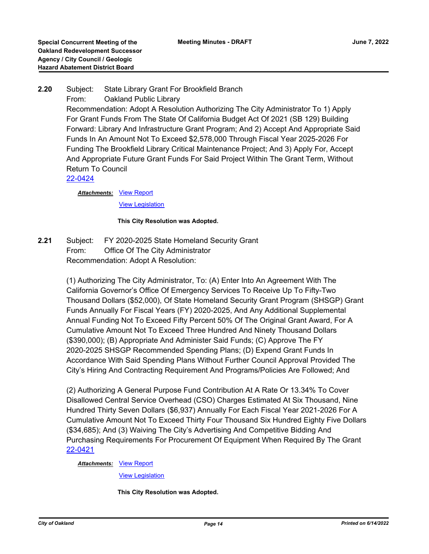# **2.20** Subject: State Library Grant For Brookfield Branch From: Oakland Public Library

Recommendation: Adopt A Resolution Authorizing The City Administrator To 1) Apply For Grant Funds From The State Of California Budget Act Of 2021 (SB 129) Building Forward: Library And Infrastructure Grant Program; And 2) Accept And Appropriate Said Funds In An Amount Not To Exceed \$2,578,000 Through Fiscal Year 2025-2026 For Funding The Brookfield Library Critical Maintenance Project; And 3) Apply For, Accept And Appropriate Future Grant Funds For Said Project Within The Grant Term, Without Return To Council

[22-0424](http://oakland.legistar.com/gateway.aspx?m=l&id=/matter.aspx?key=33345)

**Attachments: [View Report](http://oakland.legistar.com/gateway.aspx?M=F&ID=d270b024-343f-4a50-929e-b6d8f194cd2a.pdf)** 

[View Legislation](http://oakland.legistar.com/gateway.aspx?M=F&ID=0ae76d98-2523-41e3-b630-a5b19426eebf.PDF)

### **This City Resolution was Adopted.**

**2.21** Subject: FY 2020-2025 State Homeland Security Grant From: Office Of The City Administrator Recommendation: Adopt A Resolution:

> (1) Authorizing The City Administrator, To: (A) Enter Into An Agreement With The California Governor's Office Of Emergency Services To Receive Up To Fifty-Two Thousand Dollars (\$52,000), Of State Homeland Security Grant Program (SHSGP) Grant Funds Annually For Fiscal Years (FY) 2020-2025, And Any Additional Supplemental Annual Funding Not To Exceed Fifty Percent 50% Of The Original Grant Award, For A Cumulative Amount Not To Exceed Three Hundred And Ninety Thousand Dollars (\$390,000); (B) Appropriate And Administer Said Funds; (C) Approve The FY 2020-2025 SHSGP Recommended Spending Plans; (D) Expend Grant Funds In Accordance With Said Spending Plans Without Further Council Approval Provided The City's Hiring And Contracting Requirement And Programs/Policies Are Followed; And

> (2) Authorizing A General Purpose Fund Contribution At A Rate Or 13.34% To Cover Disallowed Central Service Overhead (CSO) Charges Estimated At Six Thousand, Nine Hundred Thirty Seven Dollars (\$6,937) Annually For Each Fiscal Year 2021-2026 For A Cumulative Amount Not To Exceed Thirty Four Thousand Six Hundred Eighty Five Dollars (\$34,685); And (3) Waiving The City's Advertising And Competitive Bidding And Purchasing Requirements For Procurement Of Equipment When Required By The Grant [22-0421](http://oakland.legistar.com/gateway.aspx?m=l&id=/matter.aspx?key=33342)

#### **Attachments: [View Report](http://oakland.legistar.com/gateway.aspx?M=F&ID=d623703c-e685-48b9-ba4f-f34a57bb309c.pdf)**

[View Legislation](http://oakland.legistar.com/gateway.aspx?M=F&ID=4b8f75d6-ca6e-4de6-99bf-e3210906f993.PDF)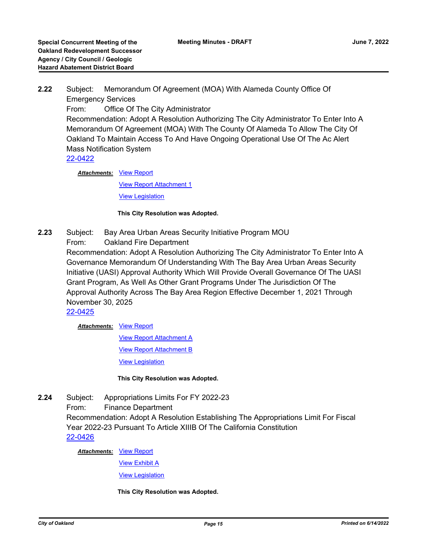**2.22** Subject: Memorandum Of Agreement (MOA) With Alameda County Office Of Emergency Services From: Office Of The City Administrator Recommendation: Adopt A Resolution Authorizing The City Administrator To Enter Into A Memorandum Of Agreement (MOA) With The County Of Alameda To Allow The City Of Oakland To Maintain Access To And Have Ongoing Operational Use Of The Ac Alert Mass Notification System [22-0422](http://oakland.legistar.com/gateway.aspx?m=l&id=/matter.aspx?key=33343)

> **Attachments: [View Report](http://oakland.legistar.com/gateway.aspx?M=F&ID=a42df9b5-af77-42dd-a250-f8a55ef0222e.pdf)** [View Report Attachment 1](http://oakland.legistar.com/gateway.aspx?M=F&ID=82f30f60-8da6-4835-b126-2992b02a5ac2.pdf) **[View Legislation](http://oakland.legistar.com/gateway.aspx?M=F&ID=1af5c85b-0a69-4166-acf4-9e84e6ce01d4.PDF)**

### **This City Resolution was Adopted.**

- **2.23** Subject: Bay Area Urban Areas Security Initiative Program MOU
	- From: Oakland Fire Department

Recommendation: Adopt A Resolution Authorizing The City Administrator To Enter Into A Governance Memorandum Of Understanding With The Bay Area Urban Areas Security Initiative (UASI) Approval Authority Which Will Provide Overall Governance Of The UASI Grant Program, As Well As Other Grant Programs Under The Jurisdiction Of The Approval Authority Across The Bay Area Region Effective December 1, 2021 Through November 30, 2025

[22-0425](http://oakland.legistar.com/gateway.aspx?m=l&id=/matter.aspx?key=33346)

# **Attachments: [View Report](http://oakland.legistar.com/gateway.aspx?M=F&ID=f0aa2990-f672-45a6-a2e7-0bcaf59a2e82.pdf)**

[View Report Attachment A](http://oakland.legistar.com/gateway.aspx?M=F&ID=072bbca1-3554-4c83-9911-1fb240a5f2a2.pdf)

**[View Report Attachment B](http://oakland.legistar.com/gateway.aspx?M=F&ID=3cbeef45-7bbb-4ae8-a652-36d125989ca9.pdf)** 

[View Legislation](http://oakland.legistar.com/gateway.aspx?M=F&ID=f8efae3e-3213-43dd-97ec-f885670c9c18.PDF)

# **This City Resolution was Adopted.**

**2.24** Subject: Appropriations Limits For FY 2022-23 From: Finance Department Recommendation: Adopt A Resolution Establishing The Appropriations Limit For Fiscal Year 2022-23 Pursuant To Article XIIIB Of The California Constitution [22-0426](http://oakland.legistar.com/gateway.aspx?m=l&id=/matter.aspx?key=33347)

**Attachments: [View Report](http://oakland.legistar.com/gateway.aspx?M=F&ID=cb7ad4dd-142a-442d-9166-f7d46eeef559.pdf)** 

[View Exhibit A](http://oakland.legistar.com/gateway.aspx?M=F&ID=ffcf1fe6-e6e2-4d21-83e2-39e54a981d68.pdf)

[View Legislation](http://oakland.legistar.com/gateway.aspx?M=F&ID=ef5c45bf-5fae-432c-9051-ca00385fc904.pdf)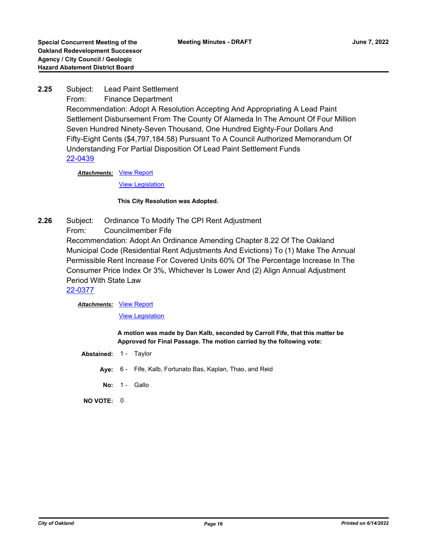**2.25** Subject: Lead Paint Settlement From: Finance Department Recommendation: Adopt A Resolution Accepting And Appropriating A Lead Paint Settlement Disbursement From The County Of Alameda In The Amount Of Four Million Seven Hundred Ninety-Seven Thousand, One Hundred Eighty-Four Dollars And Fifty-Eight Cents (\$4,797,184.58) Pursuant To A Council Authorized Memorandum Of Understanding For Partial Disposition Of Lead Paint Settlement Funds

[22-0439](http://oakland.legistar.com/gateway.aspx?m=l&id=/matter.aspx?key=33360)

**Attachments: [View Report](http://oakland.legistar.com/gateway.aspx?M=F&ID=d3843a8f-37a9-494b-8b57-a02e99c59ac0.pdf)** [View Legislation](http://oakland.legistar.com/gateway.aspx?M=F&ID=dbae6052-3a41-46a6-9789-99e118b9fb31.pdf)

#### **This City Resolution was Adopted.**

**2.26** Subject: Ordinance To Modify The CPI Rent Adjustment From: Councilmember Fife Recommendation: Adopt An Ordinance Amending Chapter 8.22 Of The Oakland Municipal Code (Residential Rent Adjustments And Evictions) To (1) Make The Annual Permissible Rent Increase For Covered Units 60% Of The Percentage Increase In The Consumer Price Index Or 3%, Whichever Is Lower And (2) Align Annual Adjustment Period With State Law

[22-0377](http://oakland.legistar.com/gateway.aspx?m=l&id=/matter.aspx?key=33298)

**Attachments: [View Report](http://oakland.legistar.com/gateway.aspx?M=F&ID=bbc3bdba-ae5f-4dec-a9f7-2c58fdbc63b9.pdf)** 

[View Legislation](http://oakland.legistar.com/gateway.aspx?M=F&ID=5a30b5fa-6623-48e3-ae71-5f661ac1c776.pdf)

**A motion was made by Dan Kalb, seconded by Carroll Fife, that this matter be Approved for Final Passage. The motion carried by the following vote:**

- **Abstained:** 1 Taylor
	- **Aye:** 6 Fife, Kalb, Fortunato Bas, Kaplan, Thao, and Reid
	- **No: 1 Gallo**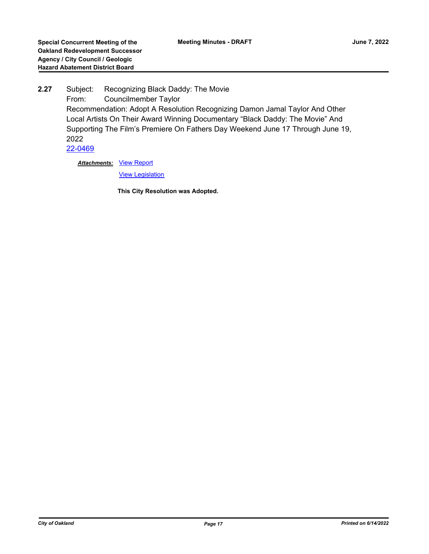**2.27** Subject: Recognizing Black Daddy: The Movie From: Councilmember Taylor Recommendation: Adopt A Resolution Recognizing Damon Jamal Taylor And Other Local Artists On Their Award Winning Documentary "Black Daddy: The Movie" And Supporting The Film's Premiere On Fathers Day Weekend June 17 Through June 19, 2022 [22-0469](http://oakland.legistar.com/gateway.aspx?m=l&id=/matter.aspx?key=33390)

**Attachments: [View Report](http://oakland.legistar.com/gateway.aspx?M=F&ID=f6117d70-2199-4b67-ac83-c5ebc994afbc.pdf)** 

**[View Legislation](http://oakland.legistar.com/gateway.aspx?M=F&ID=ab0833fd-00ab-4c7f-acd0-cf3d92ec91f1.pdf)**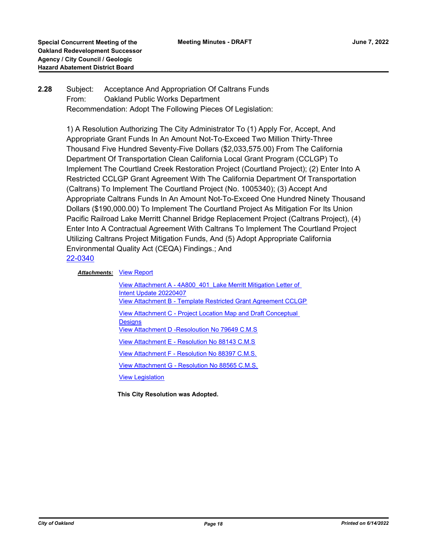# **2.28** Subject: Acceptance And Appropriation Of Caltrans Funds From: Oakland Public Works Department Recommendation: Adopt The Following Pieces Of Legislation:

1) A Resolution Authorizing The City Administrator To (1) Apply For, Accept, And Appropriate Grant Funds In An Amount Not-To-Exceed Two Million Thirty-Three Thousand Five Hundred Seventy-Five Dollars (\$2,033,575.00) From The California Department Of Transportation Clean California Local Grant Program (CCLGP) To Implement The Courtland Creek Restoration Project (Courtland Project); (2) Enter Into A Restricted CCLGP Grant Agreement With The California Department Of Transportation (Caltrans) To Implement The Courtland Project (No. 1005340); (3) Accept And Appropriate Caltrans Funds In An Amount Not-To-Exceed One Hundred Ninety Thousand Dollars (\$190,000.00) To Implement The Courtland Project As Mitigation For Its Union Pacific Railroad Lake Merritt Channel Bridge Replacement Project (Caltrans Project), (4) Enter Into A Contractual Agreement With Caltrans To Implement The Courtland Project Utilizing Caltrans Project Mitigation Funds, And (5) Adopt Appropriate California Environmental Quality Act (CEQA) Findings.; And [22-0340](http://oakland.legistar.com/gateway.aspx?m=l&id=/matter.aspx?key=33261)

# **Attachments: [View Report](http://oakland.legistar.com/gateway.aspx?M=F&ID=9fbe55e0-9d1c-456f-ad19-634ea29e1ad1.pdf)**

View Attachment A - 4A800 401 Lake Merritt Mitigation Letter of Intent Update 20220407 [View Attachment B - Template Restricted Grant Agreement CCLGP](http://oakland.legistar.com/gateway.aspx?M=F&ID=2902f5b9-d6a2-4585-aae4-51c2057e8e55.pdf) [View Attachment C - Project Location Map and Draft Conceptual](http://oakland.legistar.com/gateway.aspx?M=F&ID=e038e868-ac0d-43c2-b366-9d020ca2411a.pdf)  **Designs** [View Attachment D -Resoloution No 79649 C.M.S](http://oakland.legistar.com/gateway.aspx?M=F&ID=fda50720-29af-46c6-ab51-70d28acef8ca.pdf) [View Attachment E - Resolution No 88143 C.M.S](http://oakland.legistar.com/gateway.aspx?M=F&ID=7cf976e8-bd36-4d00-ba45-7868cfd0d058.pdf) [View Attachment F - Resolution No 88397 C.M.S.](http://oakland.legistar.com/gateway.aspx?M=F&ID=cabb5a74-f3e1-461f-abbc-3d2dc7ab301b.pdf) [View Attachment G - Resolution No 88565 C.M.S.](http://oakland.legistar.com/gateway.aspx?M=F&ID=03983745-efe2-441b-acea-dc0a658d91f7.pdf) **[View Legislation](http://oakland.legistar.com/gateway.aspx?M=F&ID=5832459b-aa6c-4704-a5dc-608bcda16251.pdf)**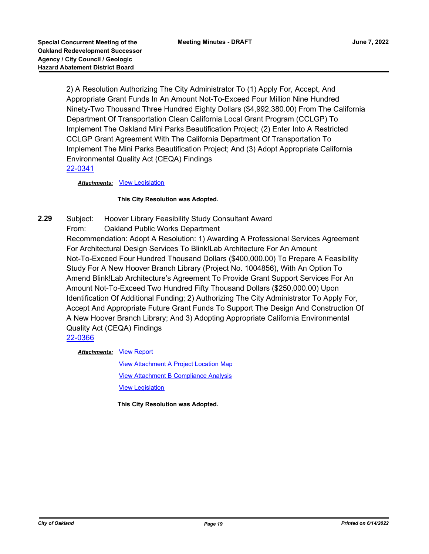2) A Resolution Authorizing The City Administrator To (1) Apply For, Accept, And Appropriate Grant Funds In An Amount Not-To-Exceed Four Million Nine Hundred Ninety-Two Thousand Three Hundred Eighty Dollars (\$4,992,380.00) From The California Department Of Transportation Clean California Local Grant Program (CCLGP) To Implement The Oakland Mini Parks Beautification Project; (2) Enter Into A Restricted CCLGP Grant Agreement With The California Department Of Transportation To Implement The Mini Parks Beautification Project; And (3) Adopt Appropriate California Environmental Quality Act (CEQA) Findings [22-0341](http://oakland.legistar.com/gateway.aspx?m=l&id=/matter.aspx?key=33262)

*Attachments:* [View Legislation](http://oakland.legistar.com/gateway.aspx?M=F&ID=e3355ded-7aa8-4fd7-aaae-f650ad428def.pdf)

#### **This City Resolution was Adopted.**

**2.29** Subject: Hoover Library Feasibility Study Consultant Award From: Oakland Public Works Department Recommendation: Adopt A Resolution: 1) Awarding A Professional Services Agreement For Architectural Design Services To Blink!Lab Architecture For An Amount Not-To-Exceed Four Hundred Thousand Dollars (\$400,000.00) To Prepare A Feasibility Study For A New Hoover Branch Library (Project No. 1004856), With An Option To Amend Blink!Lab Architecture's Agreement To Provide Grant Support Services For An Amount Not-To-Exceed Two Hundred Fifty Thousand Dollars (\$250,000.00) Upon Identification Of Additional Funding; 2) Authorizing The City Administrator To Apply For, Accept And Appropriate Future Grant Funds To Support The Design And Construction Of A New Hoover Branch Library; And 3) Adopting Appropriate California Environmental Quality Act (CEQA) Findings [22-0366](http://oakland.legistar.com/gateway.aspx?m=l&id=/matter.aspx?key=33287)

**Attachments: [View Report](http://oakland.legistar.com/gateway.aspx?M=F&ID=acc72ed7-73ef-4224-811e-a69b36cb8e45.pdf)** 

[View Attachment A Project Location Map](http://oakland.legistar.com/gateway.aspx?M=F&ID=2a359a38-a7e8-431f-882d-5e7d3f3f32cb.pdf) [View Attachment B Compliance Analysis](http://oakland.legistar.com/gateway.aspx?M=F&ID=01996100-14b5-414c-8720-e4ffd85a52dd.pdf) [View Legislation](http://oakland.legistar.com/gateway.aspx?M=F&ID=4979acfe-8821-40ea-827e-b5385ee1b43b.pdf)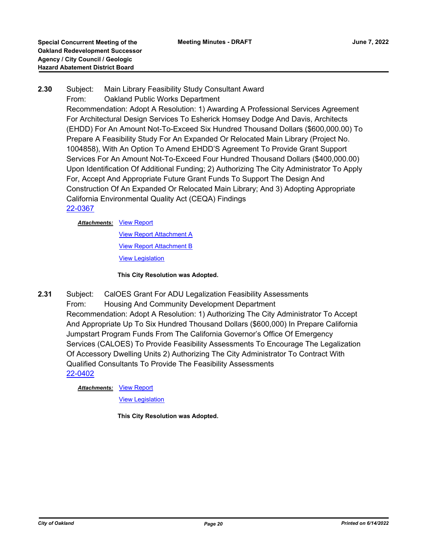# **2.30** Subject: Main Library Feasibility Study Consultant Award From: Oakland Public Works Department Recommendation: Adopt A Resolution: 1) Awarding A Professional Services Agreement For Architectural Design Services To Esherick Homsey Dodge And Davis, Architects (EHDD) For An Amount Not-To-Exceed Six Hundred Thousand Dollars (\$600,000.00) To Prepare A Feasibility Study For An Expanded Or Relocated Main Library (Project No. 1004858), With An Option To Amend EHDD'S Agreement To Provide Grant Support Services For An Amount Not-To-Exceed Four Hundred Thousand Dollars (\$400,000.00) Upon Identification Of Additional Funding; 2) Authorizing The City Administrator To Apply For, Accept And Appropriate Future Grant Funds To Support The Design And Construction Of An Expanded Or Relocated Main Library; And 3) Adopting Appropriate California Environmental Quality Act (CEQA) Findings [22-0367](http://oakland.legistar.com/gateway.aspx?m=l&id=/matter.aspx?key=33288)

**Attachments: [View Report](http://oakland.legistar.com/gateway.aspx?M=F&ID=84ddeb43-ec7b-4b4a-b86e-b4b73d9e58eb.pdf)** 

[View Report Attachment A](http://oakland.legistar.com/gateway.aspx?M=F&ID=c49ae20e-786c-4932-a653-5ff3df9f34d7.pdf) **[View Report Attachment B](http://oakland.legistar.com/gateway.aspx?M=F&ID=413a2f25-1552-4211-9d68-232f8d074423.pdf)** [View Legislation](http://oakland.legistar.com/gateway.aspx?M=F&ID=172c9a0e-e093-4560-8c72-4740183dbaa4.pdf)

**This City Resolution was Adopted.**

**2.31** Subject: CalOES Grant For ADU Legalization Feasibility Assessments From: Housing And Community Development Department Recommendation: Adopt A Resolution: 1) Authorizing The City Administrator To Accept And Appropriate Up To Six Hundred Thousand Dollars (\$600,000) In Prepare California Jumpstart Program Funds From The California Governor's Office Of Emergency Services (CALOES) To Provide Feasibility Assessments To Encourage The Legalization Of Accessory Dwelling Units 2) Authorizing The City Administrator To Contract With Qualified Consultants To Provide The Feasibility Assessments [22-0402](http://oakland.legistar.com/gateway.aspx?m=l&id=/matter.aspx?key=33323)

**Attachments: [View Report](http://oakland.legistar.com/gateway.aspx?M=F&ID=c19011a7-d783-449c-b3ef-2ce315ed2230.pdf)** 

[View Legislation](http://oakland.legistar.com/gateway.aspx?M=F&ID=d66e2782-bd77-4675-b9d9-623a99a77dd1.pdf)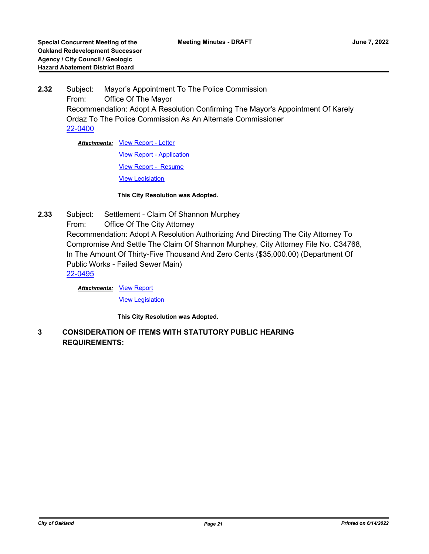**2.32** Subject: Mayor's Appointment To The Police Commission From: Office Of The Mayor Recommendation: Adopt A Resolution Confirming The Mayor's Appointment Of Karely Ordaz To The Police Commission As An Alternate Commissioner [22-0400](http://oakland.legistar.com/gateway.aspx?m=l&id=/matter.aspx?key=33321)

**Attachments: [View Report - Letter](http://oakland.legistar.com/gateway.aspx?M=F&ID=3914d04e-4dce-4549-b767-c8d475932e73.pdf)** 

[View Report - Application](http://oakland.legistar.com/gateway.aspx?M=F&ID=410f3111-2f99-4f81-b1b2-6a4755f1a2ef.pdf)

[View Report - Resume](http://oakland.legistar.com/gateway.aspx?M=F&ID=726b0b10-11e8-4ff5-b38c-17c2e250fafc.pdf)

[View Legislation](http://oakland.legistar.com/gateway.aspx?M=F&ID=8b8f79a9-1ec4-4469-b6c4-275d75b4fd22.pdf)

**This City Resolution was Adopted.**

**2.33** Subject: Settlement - Claim Of Shannon Murphey From: Office Of The City Attorney Recommendation: Adopt A Resolution Authorizing And Directing The City Attorney To Compromise And Settle The Claim Of Shannon Murphey, City Attorney File No. C34768, In The Amount Of Thirty-Five Thousand And Zero Cents (\$35,000.00) (Department Of Public Works - Failed Sewer Main) [22-0495](http://oakland.legistar.com/gateway.aspx?m=l&id=/matter.aspx?key=33415)

**Attachments: [View Report](http://oakland.legistar.com/gateway.aspx?M=F&ID=52ef20c3-f879-489f-ab10-a6b938176424.PDF)** 

[View Legislation](http://oakland.legistar.com/gateway.aspx?M=F&ID=64c0d9e1-dc95-4a83-9f70-26d63838ab08.PDF)

**This City Resolution was Adopted.**

**3 CONSIDERATION OF ITEMS WITH STATUTORY PUBLIC HEARING REQUIREMENTS:**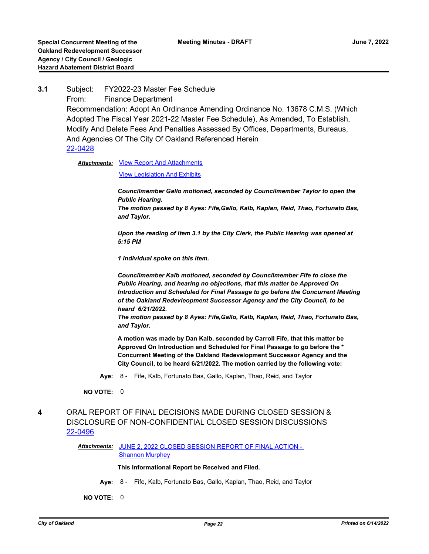**3.1** Subject: FY2022-23 Master Fee Schedule From: Finance Department Recommendation: Adopt An Ordinance Amending Ordinance No. 13678 C.M.S. (Which Adopted The Fiscal Year 2021-22 Master Fee Schedule), As Amended, To Establish, Modify And Delete Fees And Penalties Assessed By Offices, Departments, Bureaus, And Agencies Of The City Of Oakland Referenced Herein [22-0428](http://oakland.legistar.com/gateway.aspx?m=l&id=/matter.aspx?key=33349)

Attachments: [View Report And Attachments](http://oakland.legistar.com/gateway.aspx?M=F&ID=9a78fb99-0936-4aa8-8dc3-bf3b273ad1b9.pdf)

[View Legislation And Exhibits](http://oakland.legistar.com/gateway.aspx?M=F&ID=4eac7a33-a4dd-421f-95b2-bad7340456d7.pdf)

*Councilmember Gallo motioned, seconded by Councilmember Taylor to open the Public Hearing. The motion passed by 8 Ayes: Fife,Gallo, Kalb, Kaplan, Reid, Thao, Fortunato Bas, and Taylor.*

*Upon the reading of Item 3.1 by the City Clerk, the Public Hearing was opened at 5:15 PM*

*1 individual spoke on this item.*

*Councilmember Kalb motioned, seconded by Councilmember Fife to close the Public Hearing, and hearing no objections, that this matter be Approved On Introduction and Scheduled for Final Passage to go before the Concurrent Meeting of the Oakland Redevleopment Successor Agency and the City Council, to be heard 6/21/2022.* 

*The motion passed by 8 Ayes: Fife,Gallo, Kalb, Kaplan, Reid, Thao, Fortunato Bas, and Taylor.*

**A motion was made by Dan Kalb, seconded by Carroll Fife, that this matter be Approved On Introduction and Scheduled for Final Passage to go before the \* Concurrent Meeting of the Oakland Redevelopment Successor Agency and the City Council, to be heard 6/21/2022. The motion carried by the following vote:**

**Aye:** 8 - Fife, Kalb, Fortunato Bas, Gallo, Kaplan, Thao, Reid, and Taylor

**NO VOTE:** 0

# **4** ORAL REPORT OF FINAL DECISIONS MADE DURING CLOSED SESSION & DISCLOSURE OF NON-CONFIDENTIAL CLOSED SESSION DISCUSSIONS [22-0496](http://oakland.legistar.com/gateway.aspx?m=l&id=/matter.aspx?key=33416)

Attachments: JUNE 2, 2022 CLOSED SESSION REPORT OF FINAL ACTION -Shannon Murphey

**This Informational Report be Received and Filed.**

**Aye:** 8 - Fife, Kalb, Fortunato Bas, Gallo, Kaplan, Thao, Reid, and Taylor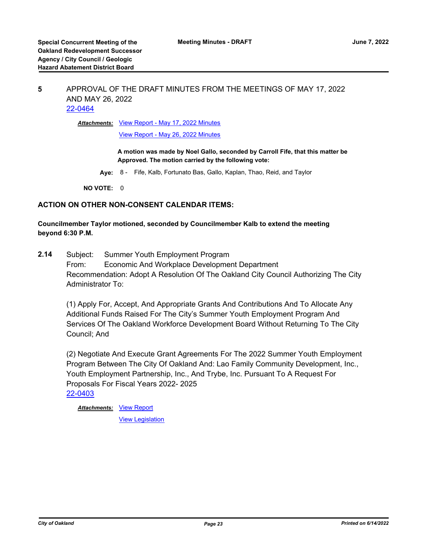# **5** APPROVAL OF THE DRAFT MINUTES FROM THE MEETINGS OF MAY 17, 2022 AND MAY 26, 2022 [22-0464](http://oakland.legistar.com/gateway.aspx?m=l&id=/matter.aspx?key=33385)

**Attachments: [View Report - May 17, 2022 Minutes](http://oakland.legistar.com/gateway.aspx?M=F&ID=af22d1cf-5f70-4cc2-9aaf-7d04cbaa0d02.pdf)** 

[View Report - May 26, 2022 Minutes](http://oakland.legistar.com/gateway.aspx?M=F&ID=bdea68e4-b6d2-4973-b928-86096eef55ab.pdf)

**A motion was made by Noel Gallo, seconded by Carroll Fife, that this matter be Approved. The motion carried by the following vote:**

**Aye:** 8 - Fife, Kalb, Fortunato Bas, Gallo, Kaplan, Thao, Reid, and Taylor

**NO VOTE:** 0

### **ACTION ON OTHER NON-CONSENT CALENDAR ITEMS:**

**Councilmember Taylor motioned, seconded by Councilmember Kalb to extend the meeting beyond 6:30 P.M.**

**2.14** Subject: Summer Youth Employment Program From: Economic And Workplace Development Department Recommendation: Adopt A Resolution Of The Oakland City Council Authorizing The City Administrator To:

(1) Apply For, Accept, And Appropriate Grants And Contributions And To Allocate Any Additional Funds Raised For The City's Summer Youth Employment Program And Services Of The Oakland Workforce Development Board Without Returning To The City Council; And

(2) Negotiate And Execute Grant Agreements For The 2022 Summer Youth Employment Program Between The City Of Oakland And: Lao Family Community Development, Inc., Youth Employment Partnership, Inc., And Trybe, Inc. Pursuant To A Request For Proposals For Fiscal Years 2022- 2025 [22-0403](http://oakland.legistar.com/gateway.aspx?m=l&id=/matter.aspx?key=33324)

**Attachments: [View Report](http://oakland.legistar.com/gateway.aspx?M=F&ID=79bcc61e-d0e2-45d2-bb6d-73b9fdb0d90b.pdf)** 

[View Legislation](http://oakland.legistar.com/gateway.aspx?M=F&ID=31797c0a-57ef-475d-8305-638d1645641c.pdf)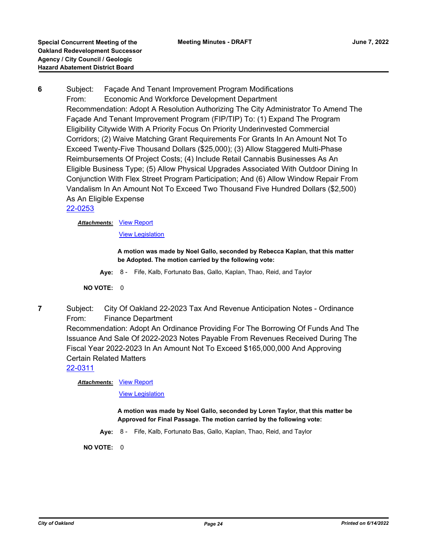**6** Subject: Façade And Tenant Improvement Program Modifications From: Economic And Workforce Development Department Recommendation: Adopt A Resolution Authorizing The City Administrator To Amend The Façade And Tenant Improvement Program (FIP/TIP) To: (1) Expand The Program Eligibility Citywide With A Priority Focus On Priority Underinvested Commercial Corridors; (2) Waive Matching Grant Requirements For Grants In An Amount Not To Exceed Twenty-Five Thousand Dollars (\$25,000); (3) Allow Staggered Multi-Phase Reimbursements Of Project Costs; (4) Include Retail Cannabis Businesses As An Eligible Business Type; (5) Allow Physical Upgrades Associated With Outdoor Dining In Conjunction With Flex Street Program Participation; And (6) Allow Window Repair From Vandalism In An Amount Not To Exceed Two Thousand Five Hundred Dollars (\$2,500) As An Eligible Expense [22-0253](http://oakland.legistar.com/gateway.aspx?m=l&id=/matter.aspx?key=33174)

**Attachments: [View Report](http://oakland.legistar.com/gateway.aspx?M=F&ID=77afda58-3db1-472d-84e6-dcced16792d0.pdf)** 

[View Legislation](http://oakland.legistar.com/gateway.aspx?M=F&ID=d7ac5e28-b1c7-4494-a7f3-3a600bb9666e.pdf)

**A motion was made by Noel Gallo, seconded by Rebecca Kaplan, that this matter be Adopted. The motion carried by the following vote:**

**Aye:** 8 - Fife, Kalb, Fortunato Bas, Gallo, Kaplan, Thao, Reid, and Taylor

**NO VOTE:** 0

**7** Subject: City Of Oakland 22-2023 Tax And Revenue Anticipation Notes - Ordinance From: Finance Department

Recommendation: Adopt An Ordinance Providing For The Borrowing Of Funds And The Issuance And Sale Of 2022-2023 Notes Payable From Revenues Received During The Fiscal Year 2022-2023 In An Amount Not To Exceed \$165,000,000 And Approving Certain Related Matters

[22-0311](http://oakland.legistar.com/gateway.aspx?m=l&id=/matter.aspx?key=33232)

**Attachments: [View Report](http://oakland.legistar.com/gateway.aspx?M=F&ID=1a4516fd-e606-4d91-834f-e603d52aa37b.pdf)** 

**[View Legislation](http://oakland.legistar.com/gateway.aspx?M=F&ID=1ac4c886-c104-4de8-a3e3-6b66e3ac6ed8.pdf)** 

**A motion was made by Noel Gallo, seconded by Loren Taylor, that this matter be Approved for Final Passage. The motion carried by the following vote:**

**Aye:** 8 - Fife, Kalb, Fortunato Bas, Gallo, Kaplan, Thao, Reid, and Taylor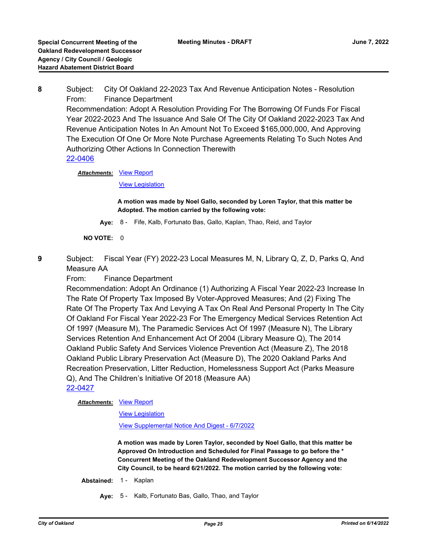**8** Subject: City Of Oakland 22-2023 Tax And Revenue Anticipation Notes - Resolution From: Finance Department Recommendation: Adopt A Resolution Providing For The Borrowing Of Funds For Fiscal Year 2022-2023 And The Issuance And Sale Of The City Of Oakland 2022-2023 Tax And Revenue Anticipation Notes In An Amount Not To Exceed \$165,000,000, And Approving The Execution Of One Or More Note Purchase Agreements Relating To Such Notes And Authorizing Other Actions In Connection Therewith [22-0406](http://oakland.legistar.com/gateway.aspx?m=l&id=/matter.aspx?key=33327)

**Attachments: [View Report](http://oakland.legistar.com/gateway.aspx?M=F&ID=84ed6fe3-0e38-4548-b2f1-5746a98aafcb.pdf)** 

[View Legislation](http://oakland.legistar.com/gateway.aspx?M=F&ID=04532e72-c011-423b-be7c-d6c2d29bb936.pdf)

**A motion was made by Noel Gallo, seconded by Loren Taylor, that this matter be Adopted. The motion carried by the following vote:**

**Aye:** 8 - Fife, Kalb, Fortunato Bas, Gallo, Kaplan, Thao, Reid, and Taylor

**NO VOTE:** 0

**9** Subject: Fiscal Year (FY) 2022-23 Local Measures M, N, Library Q, Z, D, Parks Q, And Measure AA

From: Finance Department

Recommendation: Adopt An Ordinance (1) Authorizing A Fiscal Year 2022-23 Increase In The Rate Of Property Tax Imposed By Voter-Approved Measures; And (2) Fixing The Rate Of The Property Tax And Levying A Tax On Real And Personal Property In The City Of Oakland For Fiscal Year 2022-23 For The Emergency Medical Services Retention Act Of 1997 (Measure M), The Paramedic Services Act Of 1997 (Measure N), The Library Services Retention And Enhancement Act Of 2004 (Library Measure Q), The 2014 Oakland Public Safety And Services Violence Prevention Act (Measure Z), The 2018 Oakland Public Library Preservation Act (Measure D), The 2020 Oakland Parks And Recreation Preservation, Litter Reduction, Homelessness Support Act (Parks Measure Q), And The Children's Initiative Of 2018 (Measure AA) [22-0427](http://oakland.legistar.com/gateway.aspx?m=l&id=/matter.aspx?key=33348)

**Attachments: [View Report](http://oakland.legistar.com/gateway.aspx?M=F&ID=f54b1cc3-0ceb-4619-98ee-55c76714d815.pdf)** 

[View Legislation](http://oakland.legistar.com/gateway.aspx?M=F&ID=32c254b5-9575-45fa-96bd-4a9b66abdc6c.pdf)

[View Supplemental Notice And Digest - 6/7/2022](http://oakland.legistar.com/gateway.aspx?M=F&ID=1b77705e-ea34-41ff-8870-e27677e6b718.pdf)

**A motion was made by Loren Taylor, seconded by Noel Gallo, that this matter be Approved On Introduction and Scheduled for Final Passage to go before the \* Concurrent Meeting of the Oakland Redevelopment Successor Agency and the City Council, to be heard 6/21/2022. The motion carried by the following vote:**

**Abstained:** 1 - Kaplan

**Aye:** 5 - Kalb, Fortunato Bas, Gallo, Thao, and Taylor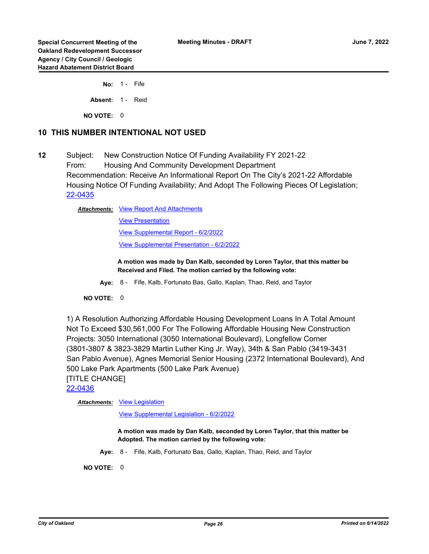**No:** 1 - Fife

Absent: 1 - Reid

**NO VOTE:** 0

# **10 THIS NUMBER INTENTIONAL NOT USED**

**12** Subject: New Construction Notice Of Funding Availability FY 2021-22 From: Housing And Community Development Department Recommendation: Receive An Informational Report On The City's 2021-22 Affordable Housing Notice Of Funding Availability; And Adopt The Following Pieces Of Legislation; [22-0435](http://oakland.legistar.com/gateway.aspx?m=l&id=/matter.aspx?key=33356)

Attachments: [View Report And Attachments](http://oakland.legistar.com/gateway.aspx?M=F&ID=5651de0c-96e5-4e9b-a9bf-d0cd40ea1218.pdf)

[View Presentation](http://oakland.legistar.com/gateway.aspx?M=F&ID=e601b501-367c-4cb8-ab5b-d14bc54bfa4a.pptx) [View Supplemental Report - 6/2/2022](http://oakland.legistar.com/gateway.aspx?M=F&ID=3a02e2f5-fc3f-45cc-b331-5632151f82e1.pdf) [View Supplemental Presentation - 6/2/2022](http://oakland.legistar.com/gateway.aspx?M=F&ID=2dcb0967-a0a3-4229-892b-1a780e9e1647.pptx)

**A motion was made by Dan Kalb, seconded by Loren Taylor, that this matter be Received and Filed. The motion carried by the following vote:**

**Aye:** 8 - Fife, Kalb, Fortunato Bas, Gallo, Kaplan, Thao, Reid, and Taylor

#### **NO VOTE:** 0

1) A Resolution Authorizing Affordable Housing Development Loans In A Total Amount Not To Exceed \$30,561,000 For The Following Affordable Housing New Construction Projects: 3050 International (3050 International Boulevard), Longfellow Corner (3801-3807 & 3823-3829 Martin Luther King Jr. Way), 34th & San Pablo (3419-3431 San Pablo Avenue), Agnes Memorial Senior Housing (2372 International Boulevard), And 500 Lake Park Apartments (500 Lake Park Avenue) [TITLE CHANGE]

[22-0436](http://oakland.legistar.com/gateway.aspx?m=l&id=/matter.aspx?key=33357)

Attachments: [View Legislation](http://oakland.legistar.com/gateway.aspx?M=F&ID=1341f698-014a-4b30-a649-9df73581d966.pdf)

[View Supplemental Legislation - 6/2/2022](http://oakland.legistar.com/gateway.aspx?M=F&ID=32edb327-940f-4d53-853d-e0cdfb3b026f.pdf)

**A motion was made by Dan Kalb, seconded by Loren Taylor, that this matter be Adopted. The motion carried by the following vote:**

**Aye:** 8 - Fife, Kalb, Fortunato Bas, Gallo, Kaplan, Thao, Reid, and Taylor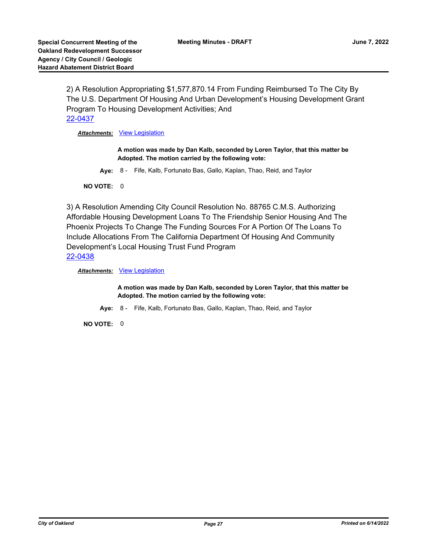2) A Resolution Appropriating \$1,577,870.14 From Funding Reimbursed To The City By The U.S. Department Of Housing And Urban Development's Housing Development Grant Program To Housing Development Activities; And [22-0437](http://oakland.legistar.com/gateway.aspx?m=l&id=/matter.aspx?key=33358)

*Attachments:* [View Legislation](http://oakland.legistar.com/gateway.aspx?M=F&ID=2d519da0-c246-45f5-9429-59281b971ebd.pdf)

**A motion was made by Dan Kalb, seconded by Loren Taylor, that this matter be Adopted. The motion carried by the following vote:**

**Aye:** 8 - Fife, Kalb, Fortunato Bas, Gallo, Kaplan, Thao, Reid, and Taylor

**NO VOTE:** 0

3) A Resolution Amending City Council Resolution No. 88765 C.M.S. Authorizing Affordable Housing Development Loans To The Friendship Senior Housing And The Phoenix Projects To Change The Funding Sources For A Portion Of The Loans To Include Allocations From The California Department Of Housing And Community Development's Local Housing Trust Fund Program [22-0438](http://oakland.legistar.com/gateway.aspx?m=l&id=/matter.aspx?key=33359)

**Attachments: [View Legislation](http://oakland.legistar.com/gateway.aspx?M=F&ID=9c9c985e-e7fb-4e82-8475-0ef6fae3d573.pdf)** 

**A motion was made by Dan Kalb, seconded by Loren Taylor, that this matter be Adopted. The motion carried by the following vote:**

**Aye:** 8 - Fife, Kalb, Fortunato Bas, Gallo, Kaplan, Thao, Reid, and Taylor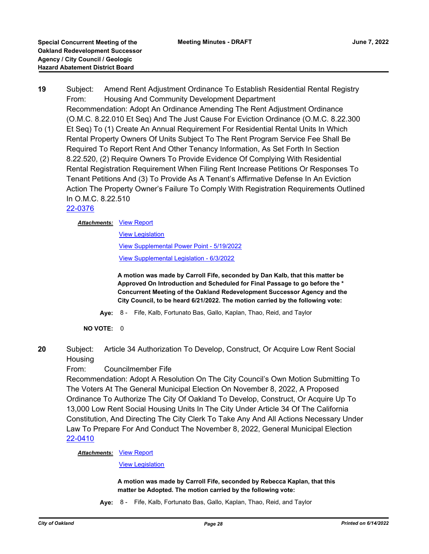**19** Subject: Amend Rent Adjustment Ordinance To Establish Residential Rental Registry From: Housing And Community Development Department Recommendation: Adopt An Ordinance Amending The Rent Adjustment Ordinance (O.M.C. 8.22.010 Et Seq) And The Just Cause For Eviction Ordinance (O.M.C. 8.22.300 Et Seq) To (1) Create An Annual Requirement For Residential Rental Units In Which Rental Property Owners Of Units Subject To The Rent Program Service Fee Shall Be Required To Report Rent And Other Tenancy Information, As Set Forth In Section 8.22.520, (2) Require Owners To Provide Evidence Of Complying With Residential Rental Registration Requirement When Filing Rent Increase Petitions Or Responses To Tenant Petitions And (3) To Provide As A Tenant's Affirmative Defense In An Eviction Action The Property Owner's Failure To Comply With Registration Requirements Outlined In O.M.C. 8.22.510

# [22-0376](http://oakland.legistar.com/gateway.aspx?m=l&id=/matter.aspx?key=33297)

#### **Attachments: [View Report](http://oakland.legistar.com/gateway.aspx?M=F&ID=c4937fb0-c6c5-4555-aca8-e00019d019fd.pdf)**

[View Legislation](http://oakland.legistar.com/gateway.aspx?M=F&ID=01891bac-9595-448f-850c-566070d73580.PDF)

[View Supplemental Power Point - 5/19/2022](http://oakland.legistar.com/gateway.aspx?M=F&ID=d1764194-7df1-4567-bbf8-0b7eaeb37a35.pdf)

[View Supplemental Legislation - 6/3/2022](http://oakland.legistar.com/gateway.aspx?M=F&ID=ea0f8918-6535-402c-a903-8450d01efddc.pdf)

**A motion was made by Carroll Fife, seconded by Dan Kalb, that this matter be Approved On Introduction and Scheduled for Final Passage to go before the \* Concurrent Meeting of the Oakland Redevelopment Successor Agency and the City Council, to be heard 6/21/2022. The motion carried by the following vote:**

- **Aye:** 8 Fife, Kalb, Fortunato Bas, Gallo, Kaplan, Thao, Reid, and Taylor
- **NO VOTE:** 0
- **20** Subject: Article 34 Authorization To Develop, Construct, Or Acquire Low Rent Social **Housing**

# From: Councilmember Fife

Recommendation: Adopt A Resolution On The City Council's Own Motion Submitting To The Voters At The General Municipal Election On November 8, 2022, A Proposed Ordinance To Authorize The City Of Oakland To Develop, Construct, Or Acquire Up To 13,000 Low Rent Social Housing Units In The City Under Article 34 Of The California Constitution, And Directing The City Clerk To Take Any And All Actions Necessary Under Law To Prepare For And Conduct The November 8, 2022, General Municipal Election [22-0410](http://oakland.legistar.com/gateway.aspx?m=l&id=/matter.aspx?key=33331)

**Attachments: [View Report](http://oakland.legistar.com/gateway.aspx?M=F&ID=afb48d17-ed66-4886-839b-cc7b68cb2fad.pdf)** 

[View Legislation](http://oakland.legistar.com/gateway.aspx?M=F&ID=65e7059d-f9e1-44fd-9540-e20f2f156271.pdf)

**A motion was made by Carroll Fife, seconded by Rebecca Kaplan, that this matter be Adopted. The motion carried by the following vote:**

**Aye:** 8 - Fife, Kalb, Fortunato Bas, Gallo, Kaplan, Thao, Reid, and Taylor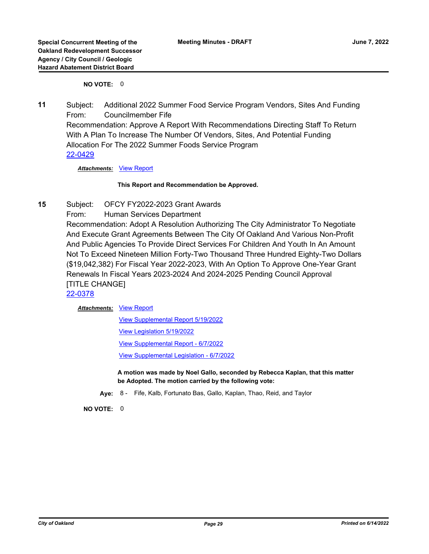# **NO VOTE:** 0

**11** Subject: Additional 2022 Summer Food Service Program Vendors, Sites And Funding From: Councilmember Fife Recommendation: Approve A Report With Recommendations Directing Staff To Return With A Plan To Increase The Number Of Vendors, Sites, And Potential Funding Allocation For The 2022 Summer Foods Service Program [22-0429](http://oakland.legistar.com/gateway.aspx?m=l&id=/matter.aspx?key=33350)

*Attachments:* [View Report](http://oakland.legistar.com/gateway.aspx?M=F&ID=215e703c-5727-4d6a-b36a-0eb348b7fea4.pdf)

#### **This Report and Recommendation be Approved.**

- **15** Subject: OFCY FY2022-2023 Grant Awards
	- From: Human Services Department

Recommendation: Adopt A Resolution Authorizing The City Administrator To Negotiate And Execute Grant Agreements Between The City Of Oakland And Various Non-Profit And Public Agencies To Provide Direct Services For Children And Youth In An Amount Not To Exceed Nineteen Million Forty-Two Thousand Three Hundred Eighty-Two Dollars (\$19,042,382) For Fiscal Year 2022-2023, With An Option To Approve One-Year Grant Renewals In Fiscal Years 2023-2024 And 2024-2025 Pending Council Approval [TITLE CHANGE]

[22-0378](http://oakland.legistar.com/gateway.aspx?m=l&id=/matter.aspx?key=33299)

#### **Attachments: [View Report](http://oakland.legistar.com/gateway.aspx?M=F&ID=9ff4777f-7a27-45b6-a281-8f259d9bbd30.pdf)**

[View Supplemental Report 5/19/2022](http://oakland.legistar.com/gateway.aspx?M=F&ID=70b55ab1-982f-453e-b567-155090a6f5ab.pdf) [View Legislation 5/19/2022](http://oakland.legistar.com/gateway.aspx?M=F&ID=bd421f21-676e-4d00-bb9e-696070e12fdc.pdf) [View Supplemental Report - 6/7/2022](http://oakland.legistar.com/gateway.aspx?M=F&ID=b4f0025d-d3b3-4183-b6ea-7173c88e26ae.pdf) [View Supplemental Legislation - 6/7/2022](http://oakland.legistar.com/gateway.aspx?M=F&ID=f0e0f24b-0a0f-433c-b736-b7ef96a0df4a.PDF)

**A motion was made by Noel Gallo, seconded by Rebecca Kaplan, that this matter be Adopted. The motion carried by the following vote:**

**Aye:** 8 - Fife, Kalb, Fortunato Bas, Gallo, Kaplan, Thao, Reid, and Taylor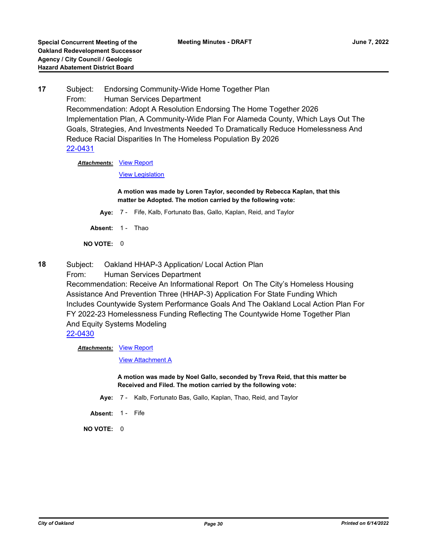**17** Subject: Endorsing Community-Wide Home Together Plan From: Human Services Department Recommendation: Adopt A Resolution Endorsing The Home Together 2026 Implementation Plan, A Community-Wide Plan For Alameda County, Which Lays Out The Goals, Strategies, And Investments Needed To Dramatically Reduce Homelessness And Reduce Racial Disparities In The Homeless Population By 2026 [22-0431](http://oakland.legistar.com/gateway.aspx?m=l&id=/matter.aspx?key=33352)

**Attachments: [View Report](http://oakland.legistar.com/gateway.aspx?M=F&ID=0ee0cfb9-fc1e-4c9f-9887-31c60c5ab94c.pdf)** 

[View Legislation](http://oakland.legistar.com/gateway.aspx?M=F&ID=3bf4ae45-79ba-4adc-b321-c7b4a1c32525.PDF)

**A motion was made by Loren Taylor, seconded by Rebecca Kaplan, that this matter be Adopted. The motion carried by the following vote:**

- **Aye:** 7 Fife, Kalb, Fortunato Bas, Gallo, Kaplan, Reid, and Taylor
- Absent: 1 Thao

**NO VOTE:** 0

- **18** Subject: Oakland HHAP-3 Application/ Local Action Plan
	- From: Human Services Department

Recommendation: Receive An Informational Report On The City's Homeless Housing Assistance And Prevention Three (HHAP-3) Application For State Funding Which Includes Countywide System Performance Goals And The Oakland Local Action Plan For FY 2022-23 Homelessness Funding Reflecting The Countywide Home Together Plan And Equity Systems Modeling

# [22-0430](http://oakland.legistar.com/gateway.aspx?m=l&id=/matter.aspx?key=33351)

**Attachments: [View Report](http://oakland.legistar.com/gateway.aspx?M=F&ID=c3b043e2-96af-4ba6-ba72-a7fd445f9309.pdf)** 

[View Attachment A](http://oakland.legistar.com/gateway.aspx?M=F&ID=28ca1ee8-6eba-4155-9849-3c996ae22f36.pdf)

**A motion was made by Noel Gallo, seconded by Treva Reid, that this matter be Received and Filed. The motion carried by the following vote:**

- **Aye:** 7 Kalb, Fortunato Bas, Gallo, Kaplan, Thao, Reid, and Taylor
- Absent: 1 Fife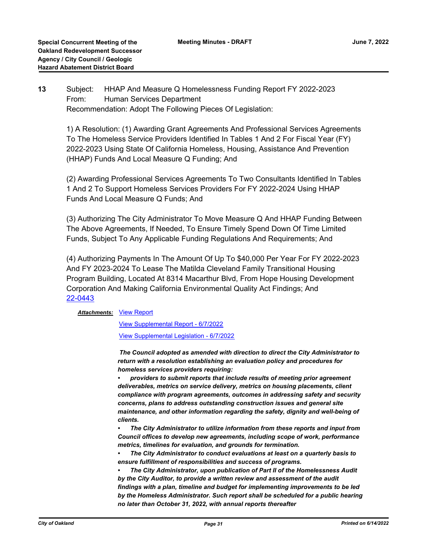# **13** Subject: HHAP And Measure Q Homelessness Funding Report FY 2022-2023 From: Human Services Department Recommendation: Adopt The Following Pieces Of Legislation:

1) A Resolution: (1) Awarding Grant Agreements And Professional Services Agreements To The Homeless Service Providers Identified In Tables 1 And 2 For Fiscal Year (FY) 2022-2023 Using State Of California Homeless, Housing, Assistance And Prevention (HHAP) Funds And Local Measure Q Funding; And

(2) Awarding Professional Services Agreements To Two Consultants Identified In Tables 1 And 2 To Support Homeless Services Providers For FY 2022-2024 Using HHAP Funds And Local Measure Q Funds; And

(3) Authorizing The City Administrator To Move Measure Q And HHAP Funding Between The Above Agreements, If Needed, To Ensure Timely Spend Down Of Time Limited Funds, Subject To Any Applicable Funding Regulations And Requirements; And

(4) Authorizing Payments In The Amount Of Up To \$40,000 Per Year For FY 2022-2023 And FY 2023-2024 To Lease The Matilda Cleveland Family Transitional Housing Program Building, Located At 8314 Macarthur Blvd, From Hope Housing Development Corporation And Making California Environmental Quality Act Findings; And [22-0443](http://oakland.legistar.com/gateway.aspx?m=l&id=/matter.aspx?key=33364)

#### **Attachments: [View Report](http://oakland.legistar.com/gateway.aspx?M=F&ID=862853c1-14ea-400e-a13c-29b5ec695b90.pdf)**

[View Supplemental Report - 6/7/2022](http://oakland.legistar.com/gateway.aspx?M=F&ID=0ecf3c83-6cf3-49e5-908c-b5457dfa3077.pdf)

[View Supplemental Legislation - 6/7/2022](http://oakland.legistar.com/gateway.aspx?M=F&ID=8a01c4ca-e178-414f-bb04-4a8acdcb0510.PDF)

 *The Council adopted as amended with direction to direct the City Administrator to return with a resolution establishing an evaluation policy and procedures for homeless services providers requiring:*

*• providers to submit reports that include results of meeting prior agreement deliverables, metrics on service delivery, metrics on housing placements, client compliance with program agreements, outcomes in addressing safety and security concerns, plans to address outstanding construction issues and general site maintenance, and other information regarding the safety, dignity and well-being of clients.*

*• The City Administrator to utilize information from these reports and input from Council offices to develop new agreements, including scope of work, performance metrics, timelines for evaluation, and grounds for termination.*

*• The City Administrator to conduct evaluations at least on a quarterly basis to ensure fulfillment of responsibilities and success of programs.*

*• The City Administrator, upon publication of Part II of the Homelessness Audit by the City Auditor, to provide a written review and assessment of the audit findings with a plan, timeline and budget for implementing improvements to be led by the Homeless Administrator. Such report shall be scheduled for a public hearing no later than October 31, 2022, with annual reports thereafter*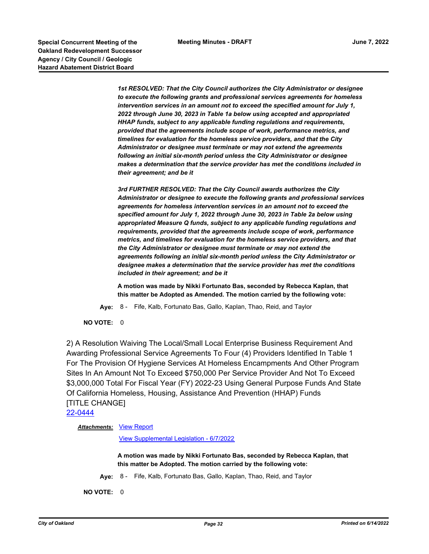**Special Concurrent Meeting of the Concurrent Meeting Minutes - DRAFT Concurrent Meeting of the June 7, 2022 Oakland Redevelopment Successor Agency / City Council / Geologic Hazard Abatement District Board**

> *1st RESOLVED: That the City Council authorizes the City Administrator or designee to execute the following grants and professional services agreements for homeless intervention services in an amount not to exceed the specified amount for July 1, 2022 through June 30, 2023 in Table 1a below using accepted and appropriated HHAP funds, subject to any applicable funding regulations and requirements, provided that the agreements include scope of work, performance metrics, and timelines for evaluation for the homeless service providers, and that the City Administrator or designee must terminate or may not extend the agreements following an initial six-month period unless the City Administrator or designee makes a determination that the service provider has met the conditions included in their agreement; and be it*

> *3rd FURTHER RESOLVED: That the City Council awards authorizes the City Administrator or designee to execute the following grants and professional services agreements for homeless intervention services in an amount not to exceed the specified amount for July 1, 2022 through June 30, 2023 in Table 2a below using appropriated Measure Q funds, subject to any applicable funding regulations and requirements, provided that the agreements include scope of work, performance metrics, and timelines for evaluation for the homeless service providers, and that the City Administrator or designee must terminate or may not extend the agreements following an initial six-month period unless the City Administrator or designee makes a determination that the service provider has met the conditions included in their agreement; and be it*

**A motion was made by Nikki Fortunato Bas, seconded by Rebecca Kaplan, that this matter be Adopted as Amended. The motion carried by the following vote:**

**Aye:** 8 - Fife, Kalb, Fortunato Bas, Gallo, Kaplan, Thao, Reid, and Taylor

**NO VOTE:** 0

2) A Resolution Waiving The Local/Small Local Enterprise Business Requirement And Awarding Professional Service Agreements To Four (4) Providers Identified In Table 1 For The Provision Of Hygiene Services At Homeless Encampments And Other Program Sites In An Amount Not To Exceed \$750,000 Per Service Provider And Not To Exceed \$3,000,000 Total For Fiscal Year (FY) 2022-23 Using General Purpose Funds And State Of California Homeless, Housing, Assistance And Prevention (HHAP) Funds [TITLE CHANGE]

[22-0444](http://oakland.legistar.com/gateway.aspx?m=l&id=/matter.aspx?key=33365)

**Attachments: [View Report](http://oakland.legistar.com/gateway.aspx?M=F&ID=09685917-0cf6-48dc-ad73-0cbbd4c0efc8.pdf)** 

[View Supplemental Legislation - 6/7/2022](http://oakland.legistar.com/gateway.aspx?M=F&ID=c95c153e-5aea-4dc8-955e-010f55591363.PDF)

**A motion was made by Nikki Fortunato Bas, seconded by Rebecca Kaplan, that this matter be Adopted. The motion carried by the following vote:**

**Aye:** 8 - Fife, Kalb, Fortunato Bas, Gallo, Kaplan, Thao, Reid, and Taylor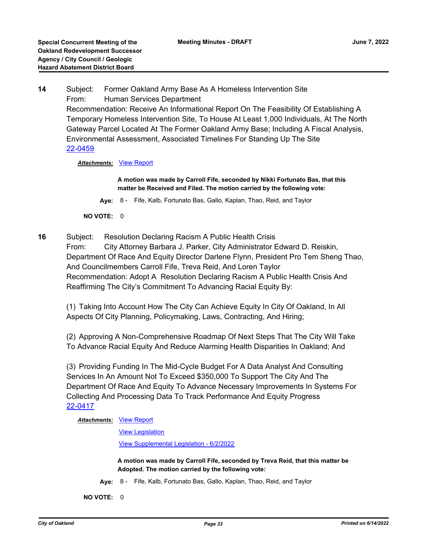**14** Subject: Former Oakland Army Base As A Homeless Intervention Site From: Human Services Department Recommendation: Receive An Informational Report On The Feasibility Of Establishing A Temporary Homeless Intervention Site, To House At Least 1,000 Individuals, At The North Gateway Parcel Located At The Former Oakland Army Base; Including A Fiscal Analysis, Environmental Assessment, Associated Timelines For Standing Up The Site [22-0459](http://oakland.legistar.com/gateway.aspx?m=l&id=/matter.aspx?key=33380)

*Attachments:* [View Report](http://oakland.legistar.com/gateway.aspx?M=F&ID=a7311a96-52a6-4eb4-92f8-67f43bc0371f.pdf)

**A motion was made by Carroll Fife, seconded by Nikki Fortunato Bas, that this matter be Received and Filed. The motion carried by the following vote:**

**Aye:** 8 - Fife, Kalb, Fortunato Bas, Gallo, Kaplan, Thao, Reid, and Taylor

**NO VOTE:** 0

**16** Subject: Resolution Declaring Racism A Public Health Crisis From: City Attorney Barbara J. Parker, City Administrator Edward D. Reiskin, Department Of Race And Equity Director Darlene Flynn, President Pro Tem Sheng Thao, And Councilmembers Carroll Fife, Treva Reid, And Loren Taylor Recommendation: Adopt A Resolution Declaring Racism A Public Health Crisis And Reaffirming The City's Commitment To Advancing Racial Equity By:

(1) Taking Into Account How The City Can Achieve Equity In City Of Oakland, In All Aspects Of City Planning, Policymaking, Laws, Contracting, And Hiring;

(2) Approving A Non-Comprehensive Roadmap Of Next Steps That The City Will Take To Advance Racial Equity And Reduce Alarming Health Disparities In Oakland; And

(3) Providing Funding In The Mid-Cycle Budget For A Data Analyst And Consulting Services In An Amount Not To Exceed \$350,000 To Support The City And The Department Of Race And Equity To Advance Necessary Improvements In Systems For Collecting And Processing Data To Track Performance And Equity Progress [22-0417](http://oakland.legistar.com/gateway.aspx?m=l&id=/matter.aspx?key=33338)

#### **Attachments: [View Report](http://oakland.legistar.com/gateway.aspx?M=F&ID=cc180a06-b33e-4cb1-b0f6-99a796c8437b.pdf)**

[View Legislation](http://oakland.legistar.com/gateway.aspx?M=F&ID=a34bc286-2d62-4e58-b1ac-9eb975e0ac95.PDF)

[View Supplemental Legislation - 6/2/2022](http://oakland.legistar.com/gateway.aspx?M=F&ID=264b61ed-723c-48ab-9df9-e7262806f007.pdf)

**A motion was made by Carroll Fife, seconded by Treva Reid, that this matter be Adopted. The motion carried by the following vote:**

**Aye:** 8 - Fife, Kalb, Fortunato Bas, Gallo, Kaplan, Thao, Reid, and Taylor